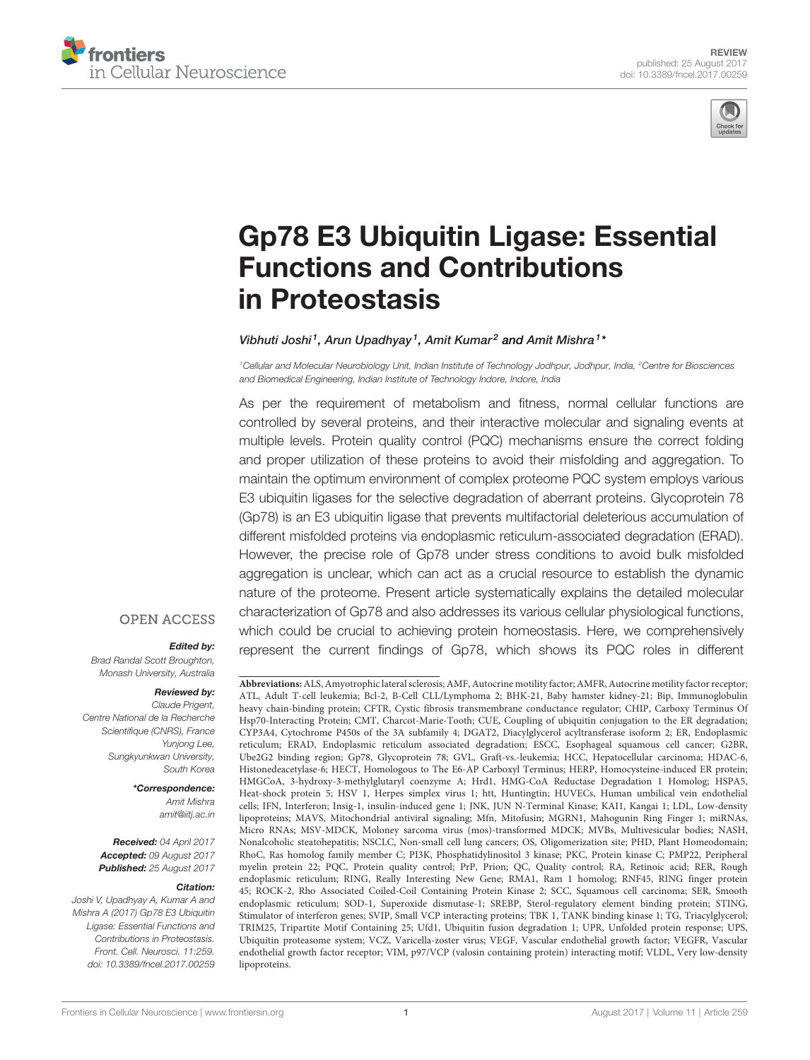



# Gp78 E3 Ubiquitin Ligase: Essential Functions and Contributions in Proteostasis

#### Vibhuti Joshi<sup>1</sup>, Arun Upadhyay<sup>1</sup>, Amit Kumar<sup>2</sup> and Amit Mishra<sup>1</sup>\*

*<sup>1</sup>Cellular and Molecular Neurobiology Unit, Indian Institute of Technology Jodhpur, Jodhpur, India, <sup>2</sup>Centre for Biosciences and Biomedical Engineering, Indian Institute of Technology Indore, Indore, India*

As per the requirement of metabolism and fitness, normal cellular functions are controlled by several proteins, and their interactive molecular and signaling events at multiple levels. Protein quality control (PQC) mechanisms ensure the correct folding and proper utilization of these proteins to avoid their misfolding and aggregation. To maintain the optimum environment of complex proteome PQC system employs various E3 ubiquitin ligases for the selective degradation of aberrant proteins. Glycoprotein 78 (Gp78) is an E3 ubiquitin ligase that prevents multifactorial deleterious accumulation of different misfolded proteins via endoplasmic reticulum-associated degradation (ERAD). However, the precise role of Gp78 under stress conditions to avoid bulk misfolded aggregation is unclear, which can act as a crucial resource to establish the dynamic nature of the proteome. Present article systematically explains the detailed molecular characterization of Gp78 and also addresses its various cellular physiological functions, which could be crucial to achieving protein homeostasis. Here, we comprehensively represent the current findings of Gp78, which shows its PQC roles in different

#### **OPEN ACCESS**

#### Edited by:

*Brad Randal Scott Broughton, Monash University, Australia*

#### Reviewed by:

*Claude Prigent, Centre National de la Recherche Scientifique (CNRS), France Yunjong Lee, Sungkyunkwan University, South Korea*

#### \*Correspondence:

*Amit Mishra amit@iitj.ac.in*

Received: *04 April 2017* Accepted: *09 August 2017* Published: *25 August 2017*

#### Citation:

*Joshi V, Upadhyay A, Kumar A and Mishra A (2017) Gp78 E3 Ubiquitin Ligase: Essential Functions and Contributions in Proteostasis. Front. Cell. Neurosci. 11:259. doi: 10.3389/fncel.2017.00259*

**Abbreviations:**ALS, Amyotrophic lateral sclerosis; AMF, Autocrine motility factor; AMFR, Autocrine motility factor receptor; ATL, Adult T-cell leukemia; Bcl-2, B-Cell CLL/Lymphoma 2; BHK-21, Baby hamster kidney-21; Bip, Immunoglobulin heavy chain-binding protein; CFTR, Cystic fibrosis transmembrane conductance regulator; CHIP, Carboxy Terminus Of Hsp70-Interacting Protein; CMT, Charcot-Marie-Tooth; CUE, Coupling of ubiquitin conjugation to the ER degradation; CYP3A4, Cytochrome P450s of the 3A subfamily 4; DGAT2, Diacylglycerol acyltransferase isoform 2; ER, Endoplasmic reticulum; ERAD, Endoplasmic reticulum associated degradation; ESCC, Esophageal squamous cell cancer; G2BR, Ube2G2 binding region; Gp78, Glycoprotein 78; GVL, Graft-vs.-leukemia; HCC, Hepatocellular carcinoma; HDAC-6, Histonedeacetylase-6; HECT, Homologous to The E6-AP Carboxyl Terminus; HERP, Homocysteine-induced ER protein; HMGCoA, 3-hydroxy-3-methylglutaryl coenzyme A; Hrd1, HMG-CoA Reductase Degradation 1 Homolog; HSPA5, Heat-shock protein 5; HSV 1, Herpes simplex virus 1; htt, Huntingtin; HUVECs, Human umbilical vein endothelial cells; IFN, Interferon; Insig-1, insulin-induced gene 1; JNK, JUN N-Terminal Kinase; KAI1, Kangai 1; LDL, Low-density lipoproteins; MAVS, Mitochondrial antiviral signaling; Mfn, Mitofusin; MGRN1, Mahogunin Ring Finger 1; miRNAs, Micro RNAs; MSV-MDCK, Moloney sarcoma virus (mos)-transformed MDCK; MVBs, Multivesicular bodies; NASH, Nonalcoholic steatohepatitis; NSCLC, Non-small cell lung cancers; OS, Oligomerization site; PHD, Plant Homeodomain; RhoC, Ras homolog family member C; PI3K, Phosphatidylinositol 3 kinase; PKC, Protein kinase C; PMP22, Peripheral myelin protein 22; PQC, Protein quality control; PrP, Prion; QC, Quality control; RA, Retinoic acid; RER, Rough endoplasmic reticulum; RING, Really Interesting New Gene; RMA1, Ram 1 homolog; RNF45, RING finger protein 45; ROCK-2, Rho Associated Coiled-Coil Containing Protein Kinase 2; SCC, Squamous cell carcinoma; SER, Smooth endoplasmic reticulum; SOD-1, Superoxide dismutase-1; SREBP, Sterol-regulatory element binding protein; STING, Stimulator of interferon genes; SVIP, Small VCP interacting proteins; TBK 1, TANK binding kinase 1; TG, Triacylglycerol; TRIM25, Tripartite Motif Containing 25; Ufd1, Ubiquitin fusion degradation 1; UPR, Unfolded protein response; UPS, Ubiquitin proteasome system; VCZ, Varicella-zoster virus; VEGF, Vascular endothelial growth factor; VEGFR, Vascular endothelial growth factor receptor; VIM, p97/VCP (valosin containing protein) interacting motif; VLDL, Very low-density lipoproteins.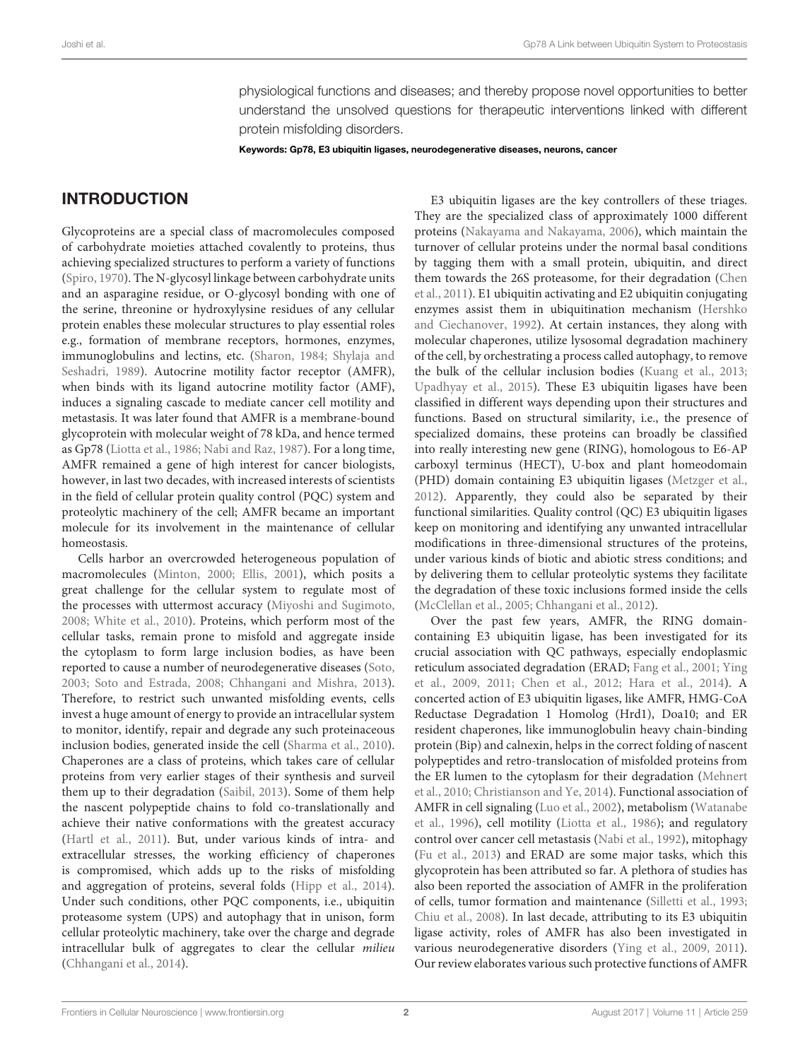physiological functions and diseases; and thereby propose novel opportunities to better understand the unsolved questions for therapeutic interventions linked with different protein misfolding disorders.

Keywords: Gp78, E3 ubiquitin ligases, neurodegenerative diseases, neurons, cancer

# INTRODUCTION

Glycoproteins are a special class of macromolecules composed of carbohydrate moieties attached covalently to proteins, thus achieving specialized structures to perform a variety of functions (Spiro, 1970). The N-glycosyl linkage between carbohydrate units and an asparagine residue, or O-glycosyl bonding with one of the serine, threonine or hydroxylysine residues of any cellular protein enables these molecular structures to play essential roles e.g., formation of membrane receptors, hormones, enzymes, immunoglobulins and lectins, etc. (Sharon, 1984; Shylaja and Seshadri, 1989). Autocrine motility factor receptor (AMFR), when binds with its ligand autocrine motility factor (AMF), induces a signaling cascade to mediate cancer cell motility and metastasis. It was later found that AMFR is a membrane-bound glycoprotein with molecular weight of 78 kDa, and hence termed as Gp78 (Liotta et al., 1986; Nabi and Raz, 1987). For a long time, AMFR remained a gene of high interest for cancer biologists, however, in last two decades, with increased interests of scientists in the field of cellular protein quality control (PQC) system and proteolytic machinery of the cell; AMFR became an important molecule for its involvement in the maintenance of cellular homeostasis.

Cells harbor an overcrowded heterogeneous population of macromolecules (Minton, 2000; Ellis, 2001), which posits a great challenge for the cellular system to regulate most of the processes with uttermost accuracy (Miyoshi and Sugimoto, 2008; White et al., 2010). Proteins, which perform most of the cellular tasks, remain prone to misfold and aggregate inside the cytoplasm to form large inclusion bodies, as have been reported to cause a number of neurodegenerative diseases (Soto, 2003; Soto and Estrada, 2008; Chhangani and Mishra, 2013). Therefore, to restrict such unwanted misfolding events, cells invest a huge amount of energy to provide an intracellular system to monitor, identify, repair and degrade any such proteinaceous inclusion bodies, generated inside the cell (Sharma et al., 2010). Chaperones are a class of proteins, which takes care of cellular proteins from very earlier stages of their synthesis and surveil them up to their degradation (Saibil, 2013). Some of them help the nascent polypeptide chains to fold co-translationally and achieve their native conformations with the greatest accuracy (Hartl et al., 2011). But, under various kinds of intra- and extracellular stresses, the working efficiency of chaperones is compromised, which adds up to the risks of misfolding and aggregation of proteins, several folds (Hipp et al., 2014). Under such conditions, other PQC components, i.e., ubiquitin proteasome system (UPS) and autophagy that in unison, form cellular proteolytic machinery, take over the charge and degrade intracellular bulk of aggregates to clear the cellular milieu (Chhangani et al., 2014).

E3 ubiquitin ligases are the key controllers of these triages. They are the specialized class of approximately 1000 different proteins (Nakayama and Nakayama, 2006), which maintain the turnover of cellular proteins under the normal basal conditions by tagging them with a small protein, ubiquitin, and direct them towards the 26S proteasome, for their degradation (Chen et al., 2011). E1 ubiquitin activating and E2 ubiquitin conjugating enzymes assist them in ubiquitination mechanism (Hershko and Ciechanover, 1992). At certain instances, they along with molecular chaperones, utilize lysosomal degradation machinery of the cell, by orchestrating a process called autophagy, to remove the bulk of the cellular inclusion bodies (Kuang et al., 2013; Upadhyay et al., 2015). These E3 ubiquitin ligases have been classified in different ways depending upon their structures and functions. Based on structural similarity, i.e., the presence of specialized domains, these proteins can broadly be classified into really interesting new gene (RING), homologous to E6-AP carboxyl terminus (HECT), U-box and plant homeodomain (PHD) domain containing E3 ubiquitin ligases (Metzger et al., 2012). Apparently, they could also be separated by their functional similarities. Quality control (QC) E3 ubiquitin ligases keep on monitoring and identifying any unwanted intracellular modifications in three-dimensional structures of the proteins, under various kinds of biotic and abiotic stress conditions; and by delivering them to cellular proteolytic systems they facilitate the degradation of these toxic inclusions formed inside the cells (McClellan et al., 2005; Chhangani et al., 2012).

Over the past few years, AMFR, the RING domaincontaining E3 ubiquitin ligase, has been investigated for its crucial association with QC pathways, especially endoplasmic reticulum associated degradation (ERAD; Fang et al., 2001; Ying et al., 2009, 2011; Chen et al., 2012; Hara et al., 2014). A concerted action of E3 ubiquitin ligases, like AMFR, HMG-CoA Reductase Degradation 1 Homolog (Hrd1), Doa10; and ER resident chaperones, like immunoglobulin heavy chain-binding protein (Bip) and calnexin, helps in the correct folding of nascent polypeptides and retro-translocation of misfolded proteins from the ER lumen to the cytoplasm for their degradation (Mehnert et al., 2010; Christianson and Ye, 2014). Functional association of AMFR in cell signaling (Luo et al., 2002), metabolism (Watanabe et al., 1996), cell motility (Liotta et al., 1986); and regulatory control over cancer cell metastasis (Nabi et al., 1992), mitophagy (Fu et al., 2013) and ERAD are some major tasks, which this glycoprotein has been attributed so far. A plethora of studies has also been reported the association of AMFR in the proliferation of cells, tumor formation and maintenance (Silletti et al., 1993; Chiu et al., 2008). In last decade, attributing to its E3 ubiquitin ligase activity, roles of AMFR has also been investigated in various neurodegenerative disorders (Ying et al., 2009, 2011). Our review elaborates various such protective functions of AMFR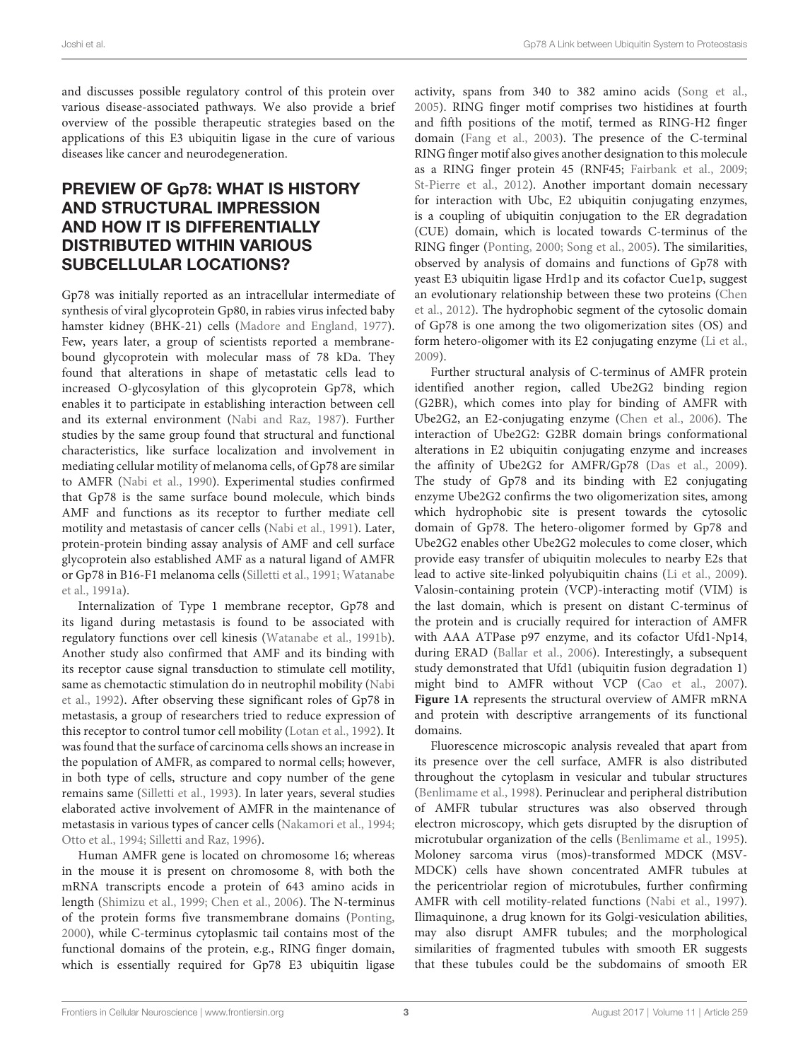and discusses possible regulatory control of this protein over various disease-associated pathways. We also provide a brief overview of the possible therapeutic strategies based on the applications of this E3 ubiquitin ligase in the cure of various diseases like cancer and neurodegeneration.

## PREVIEW OF Gp78: WHAT IS HISTORY AND STRUCTURAL IMPRESSION AND HOW IT IS DIFFERENTIALLY DISTRIBUTED WITHIN VARIOUS SUBCELLULAR LOCATIONS?

Gp78 was initially reported as an intracellular intermediate of synthesis of viral glycoprotein Gp80, in rabies virus infected baby hamster kidney (BHK-21) cells (Madore and England, 1977). Few, years later, a group of scientists reported a membranebound glycoprotein with molecular mass of 78 kDa. They found that alterations in shape of metastatic cells lead to increased O-glycosylation of this glycoprotein Gp78, which enables it to participate in establishing interaction between cell and its external environment (Nabi and Raz, 1987). Further studies by the same group found that structural and functional characteristics, like surface localization and involvement in mediating cellular motility of melanoma cells, of Gp78 are similar to AMFR (Nabi et al., 1990). Experimental studies confirmed that Gp78 is the same surface bound molecule, which binds AMF and functions as its receptor to further mediate cell motility and metastasis of cancer cells (Nabi et al., 1991). Later, protein-protein binding assay analysis of AMF and cell surface glycoprotein also established AMF as a natural ligand of AMFR or Gp78 in B16-F1 melanoma cells (Silletti et al., 1991; Watanabe et al., 1991a).

Internalization of Type 1 membrane receptor, Gp78 and its ligand during metastasis is found to be associated with regulatory functions over cell kinesis (Watanabe et al., 1991b). Another study also confirmed that AMF and its binding with its receptor cause signal transduction to stimulate cell motility, same as chemotactic stimulation do in neutrophil mobility (Nabi et al., 1992). After observing these significant roles of Gp78 in metastasis, a group of researchers tried to reduce expression of this receptor to control tumor cell mobility (Lotan et al., 1992). It was found that the surface of carcinoma cells shows an increase in the population of AMFR, as compared to normal cells; however, in both type of cells, structure and copy number of the gene remains same (Silletti et al., 1993). In later years, several studies elaborated active involvement of AMFR in the maintenance of metastasis in various types of cancer cells (Nakamori et al., 1994; Otto et al., 1994; Silletti and Raz, 1996).

Human AMFR gene is located on chromosome 16; whereas in the mouse it is present on chromosome 8, with both the mRNA transcripts encode a protein of 643 amino acids in length (Shimizu et al., 1999; Chen et al., 2006). The N-terminus of the protein forms five transmembrane domains (Ponting, 2000), while C-terminus cytoplasmic tail contains most of the functional domains of the protein, e.g., RING finger domain, which is essentially required for Gp78 E3 ubiquitin ligase

activity, spans from 340 to 382 amino acids (Song et al., 2005). RING finger motif comprises two histidines at fourth and fifth positions of the motif, termed as RING-H2 finger domain (Fang et al., 2003). The presence of the C-terminal RING finger motif also gives another designation to this molecule as a RING finger protein 45 (RNF45; Fairbank et al., 2009; St-Pierre et al., 2012). Another important domain necessary for interaction with Ubc, E2 ubiquitin conjugating enzymes, is a coupling of ubiquitin conjugation to the ER degradation (CUE) domain, which is located towards C-terminus of the RING finger (Ponting, 2000; Song et al., 2005). The similarities, observed by analysis of domains and functions of Gp78 with yeast E3 ubiquitin ligase Hrd1p and its cofactor Cue1p, suggest an evolutionary relationship between these two proteins (Chen et al., 2012). The hydrophobic segment of the cytosolic domain of Gp78 is one among the two oligomerization sites (OS) and form hetero-oligomer with its E2 conjugating enzyme (Li et al., 2009).

Further structural analysis of C-terminus of AMFR protein identified another region, called Ube2G2 binding region (G2BR), which comes into play for binding of AMFR with Ube2G2, an E2-conjugating enzyme (Chen et al., 2006). The interaction of Ube2G2: G2BR domain brings conformational alterations in E2 ubiquitin conjugating enzyme and increases the affinity of Ube2G2 for AMFR/Gp78 (Das et al., 2009). The study of Gp78 and its binding with E2 conjugating enzyme Ube2G2 confirms the two oligomerization sites, among which hydrophobic site is present towards the cytosolic domain of Gp78. The hetero-oligomer formed by Gp78 and Ube2G2 enables other Ube2G2 molecules to come closer, which provide easy transfer of ubiquitin molecules to nearby E2s that lead to active site-linked polyubiquitin chains (Li et al., 2009). Valosin-containing protein (VCP)-interacting motif (VIM) is the last domain, which is present on distant C-terminus of the protein and is crucially required for interaction of AMFR with AAA ATPase p97 enzyme, and its cofactor Ufd1-Np14, during ERAD (Ballar et al., 2006). Interestingly, a subsequent study demonstrated that Ufd1 (ubiquitin fusion degradation 1) might bind to AMFR without VCP (Cao et al., 2007). **Figure 1A** represents the structural overview of AMFR mRNA and protein with descriptive arrangements of its functional domains.

Fluorescence microscopic analysis revealed that apart from its presence over the cell surface, AMFR is also distributed throughout the cytoplasm in vesicular and tubular structures (Benlimame et al., 1998). Perinuclear and peripheral distribution of AMFR tubular structures was also observed through electron microscopy, which gets disrupted by the disruption of microtubular organization of the cells (Benlimame et al., 1995). Moloney sarcoma virus (mos)-transformed MDCK (MSV-MDCK) cells have shown concentrated AMFR tubules at the pericentriolar region of microtubules, further confirming AMFR with cell motility-related functions (Nabi et al., 1997). Ilimaquinone, a drug known for its Golgi-vesiculation abilities, may also disrupt AMFR tubules; and the morphological similarities of fragmented tubules with smooth ER suggests that these tubules could be the subdomains of smooth ER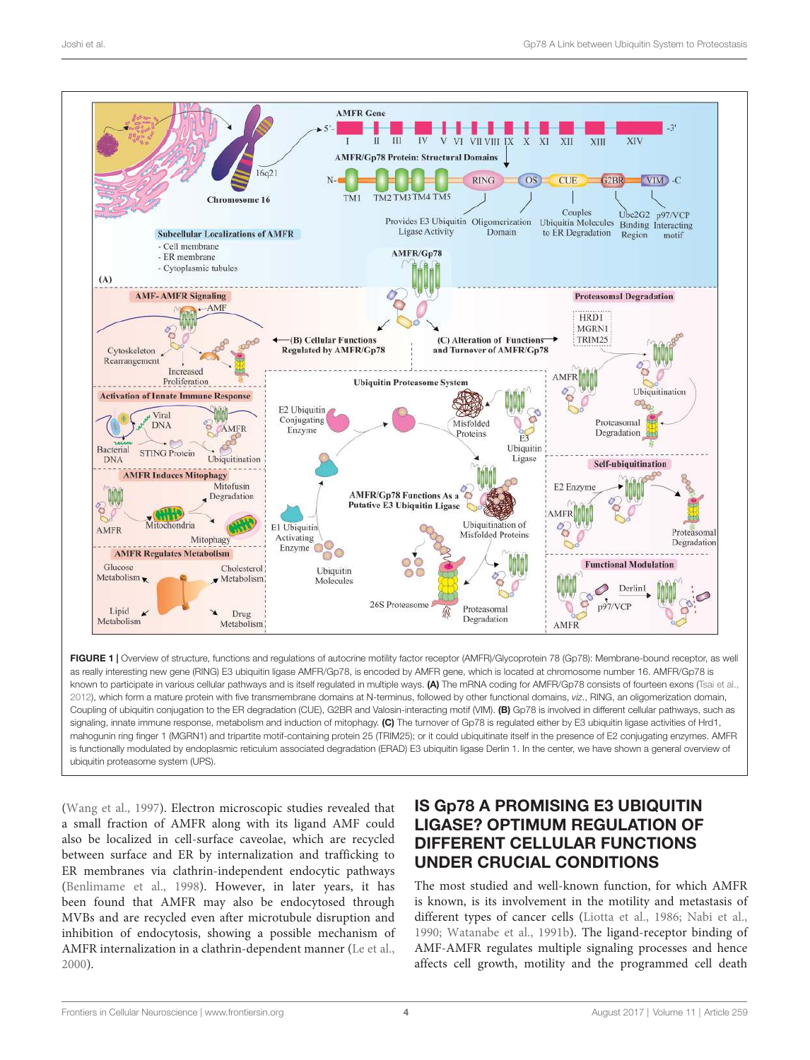

FIGURE 1 | Overview of structure, functions and regulations of autocrine motility factor receptor (AMFR)/Glycoprotein 78 (Gp78): Membrane-bound receptor, as well as really interesting new gene (RING) E3 ubiquitin ligase AMFR/Gp78, is encoded by AMFR gene, which is located at chromosome number 16. AMFR/Gp78 is known to participate in various cellular pathways and is itself regulated in multiple ways. (A) The mRNA coding for AMFR/Gp78 consists of fourteen exons (Tsai et al., 2012), which form a mature protein with five transmembrane domains at N-terminus, followed by other functional domains, *viz*., RING, an oligomerization domain, Coupling of ubiquitin conjugation to the ER degradation (CUE), G2BR and Valosin-interacting motif (VIM). (B) Gp78 is involved in different cellular pathways, such as signaling, innate immune response, metabolism and induction of mitophagy. (C) The turnover of Gp78 is regulated either by E3 ubiquitin ligase activities of Hrd1, mahogunin ring finger 1 (MGRN1) and tripartite motif-containing protein 25 (TRIM25); or it could ubiquitinate itself in the presence of E2 conjugating enzymes. AMFR is functionally modulated by endoplasmic reticulum associated degradation (ERAD) E3 ubiquitin ligase Derlin 1. In the center, we have shown a general overview of ubiquitin proteasome system (UPS).

(Wang et al., 1997). Electron microscopic studies revealed that a small fraction of AMFR along with its ligand AMF could also be localized in cell-surface caveolae, which are recycled between surface and ER by internalization and trafficking to ER membranes via clathrin-independent endocytic pathways (Benlimame et al., 1998). However, in later years, it has been found that AMFR may also be endocytosed through MVBs and are recycled even after microtubule disruption and inhibition of endocytosis, showing a possible mechanism of AMFR internalization in a clathrin-dependent manner (Le et al., 2000).

# IS Gp78 A PROMISING E3 UBIQUITIN LIGASE? OPTIMUM REGULATION OF DIFFERENT CELLULAR FUNCTIONS UNDER CRUCIAL CONDITIONS

The most studied and well-known function, for which AMFR is known, is its involvement in the motility and metastasis of different types of cancer cells (Liotta et al., 1986; Nabi et al., 1990; Watanabe et al., 1991b). The ligand-receptor binding of AMF-AMFR regulates multiple signaling processes and hence affects cell growth, motility and the programmed cell death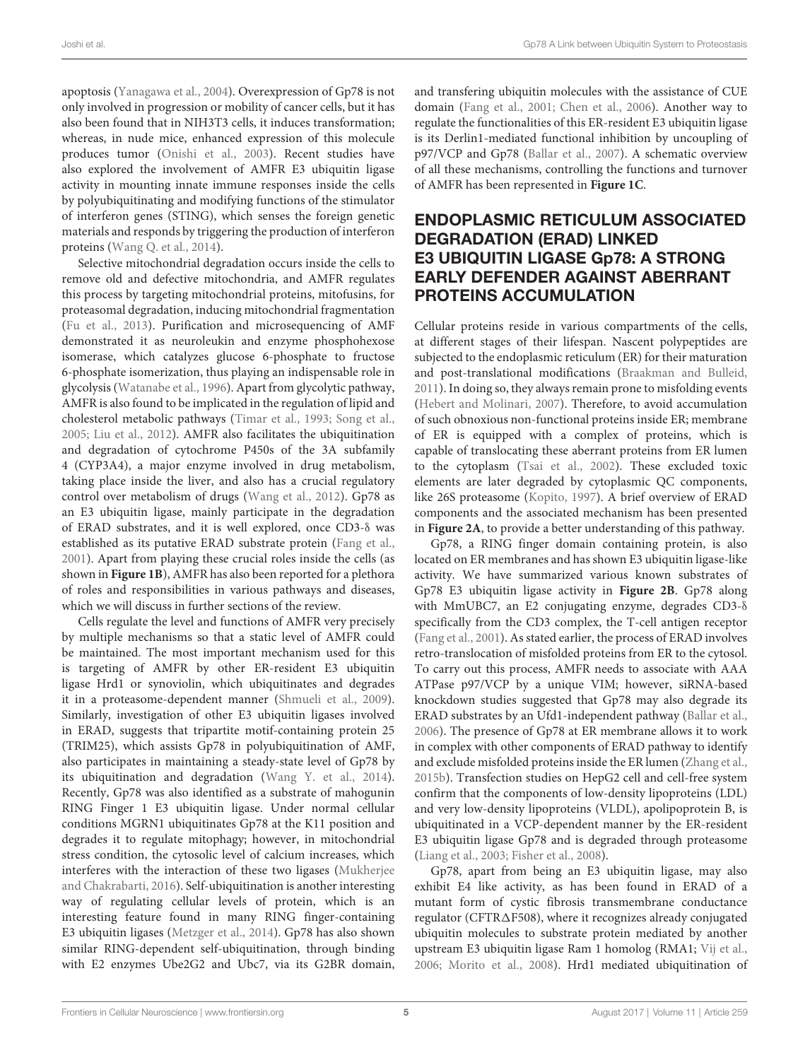apoptosis (Yanagawa et al., 2004). Overexpression of Gp78 is not only involved in progression or mobility of cancer cells, but it has also been found that in NIH3T3 cells, it induces transformation; whereas, in nude mice, enhanced expression of this molecule produces tumor (Onishi et al., 2003). Recent studies have also explored the involvement of AMFR E3 ubiquitin ligase activity in mounting innate immune responses inside the cells by polyubiquitinating and modifying functions of the stimulator of interferon genes (STING), which senses the foreign genetic materials and responds by triggering the production of interferon proteins (Wang Q. et al., 2014).

Selective mitochondrial degradation occurs inside the cells to remove old and defective mitochondria, and AMFR regulates this process by targeting mitochondrial proteins, mitofusins, for proteasomal degradation, inducing mitochondrial fragmentation (Fu et al., 2013). Purification and microsequencing of AMF demonstrated it as neuroleukin and enzyme phosphohexose isomerase, which catalyzes glucose 6-phosphate to fructose 6-phosphate isomerization, thus playing an indispensable role in glycolysis (Watanabe et al., 1996). Apart from glycolytic pathway, AMFR is also found to be implicated in the regulation of lipid and cholesterol metabolic pathways (Timar et al., 1993; Song et al., 2005; Liu et al., 2012). AMFR also facilitates the ubiquitination and degradation of cytochrome P450s of the 3A subfamily 4 (CYP3A4), a major enzyme involved in drug metabolism, taking place inside the liver, and also has a crucial regulatory control over metabolism of drugs (Wang et al., 2012). Gp78 as an E3 ubiquitin ligase, mainly participate in the degradation of ERAD substrates, and it is well explored, once CD3-δ was established as its putative ERAD substrate protein (Fang et al., 2001). Apart from playing these crucial roles inside the cells (as shown in **Figure 1B**), AMFR has also been reported for a plethora of roles and responsibilities in various pathways and diseases, which we will discuss in further sections of the review.

Cells regulate the level and functions of AMFR very precisely by multiple mechanisms so that a static level of AMFR could be maintained. The most important mechanism used for this is targeting of AMFR by other ER-resident E3 ubiquitin ligase Hrd1 or synoviolin, which ubiquitinates and degrades it in a proteasome-dependent manner (Shmueli et al., 2009). Similarly, investigation of other E3 ubiquitin ligases involved in ERAD, suggests that tripartite motif-containing protein 25 (TRIM25), which assists Gp78 in polyubiquitination of AMF, also participates in maintaining a steady-state level of Gp78 by its ubiquitination and degradation (Wang Y. et al., 2014). Recently, Gp78 was also identified as a substrate of mahogunin RING Finger 1 E3 ubiquitin ligase. Under normal cellular conditions MGRN1 ubiquitinates Gp78 at the K11 position and degrades it to regulate mitophagy; however, in mitochondrial stress condition, the cytosolic level of calcium increases, which interferes with the interaction of these two ligases (Mukherjee and Chakrabarti, 2016). Self-ubiquitination is another interesting way of regulating cellular levels of protein, which is an interesting feature found in many RING finger-containing E3 ubiquitin ligases (Metzger et al., 2014). Gp78 has also shown similar RING-dependent self-ubiquitination, through binding with E2 enzymes Ube2G2 and Ubc7, via its G2BR domain,

and transfering ubiquitin molecules with the assistance of CUE domain (Fang et al., 2001; Chen et al., 2006). Another way to regulate the functionalities of this ER-resident E3 ubiquitin ligase is its Derlin1-mediated functional inhibition by uncoupling of p97/VCP and Gp78 (Ballar et al., 2007). A schematic overview of all these mechanisms, controlling the functions and turnover of AMFR has been represented in **Figure 1C**.

#### ENDOPLASMIC RETICULUM ASSOCIATED DEGRADATION (ERAD) LINKED E3 UBIQUITIN LIGASE Gp78: A STRONG EARLY DEFENDER AGAINST ABERRANT PROTEINS ACCUMULATION

Cellular proteins reside in various compartments of the cells, at different stages of their lifespan. Nascent polypeptides are subjected to the endoplasmic reticulum (ER) for their maturation and post-translational modifications (Braakman and Bulleid, 2011). In doing so, they always remain prone to misfolding events (Hebert and Molinari, 2007). Therefore, to avoid accumulation of such obnoxious non-functional proteins inside ER; membrane of ER is equipped with a complex of proteins, which is capable of translocating these aberrant proteins from ER lumen to the cytoplasm (Tsai et al., 2002). These excluded toxic elements are later degraded by cytoplasmic QC components, like 26S proteasome (Kopito, 1997). A brief overview of ERAD components and the associated mechanism has been presented in **Figure 2A**, to provide a better understanding of this pathway.

Gp78, a RING finger domain containing protein, is also located on ER membranes and has shown E3 ubiquitin ligase-like activity. We have summarized various known substrates of Gp78 E3 ubiquitin ligase activity in **Figure 2B**. Gp78 along with MmUBC7, an E2 conjugating enzyme, degrades CD3-δ specifically from the CD3 complex, the T-cell antigen receptor (Fang et al., 2001). As stated earlier, the process of ERAD involves retro-translocation of misfolded proteins from ER to the cytosol. To carry out this process, AMFR needs to associate with AAA ATPase p97/VCP by a unique VIM; however, siRNA-based knockdown studies suggested that Gp78 may also degrade its ERAD substrates by an Ufd1-independent pathway (Ballar et al., 2006). The presence of Gp78 at ER membrane allows it to work in complex with other components of ERAD pathway to identify and exclude misfolded proteins inside the ER lumen (Zhang et al., 2015b). Transfection studies on HepG2 cell and cell-free system confirm that the components of low-density lipoproteins (LDL) and very low-density lipoproteins (VLDL), apolipoprotein B, is ubiquitinated in a VCP-dependent manner by the ER-resident E3 ubiquitin ligase Gp78 and is degraded through proteasome (Liang et al., 2003; Fisher et al., 2008).

Gp78, apart from being an E3 ubiquitin ligase, may also exhibit E4 like activity, as has been found in ERAD of a mutant form of cystic fibrosis transmembrane conductance regulator (CFTR∆F508), where it recognizes already conjugated ubiquitin molecules to substrate protein mediated by another upstream E3 ubiquitin ligase Ram 1 homolog (RMA1; Vij et al., 2006; Morito et al., 2008). Hrd1 mediated ubiquitination of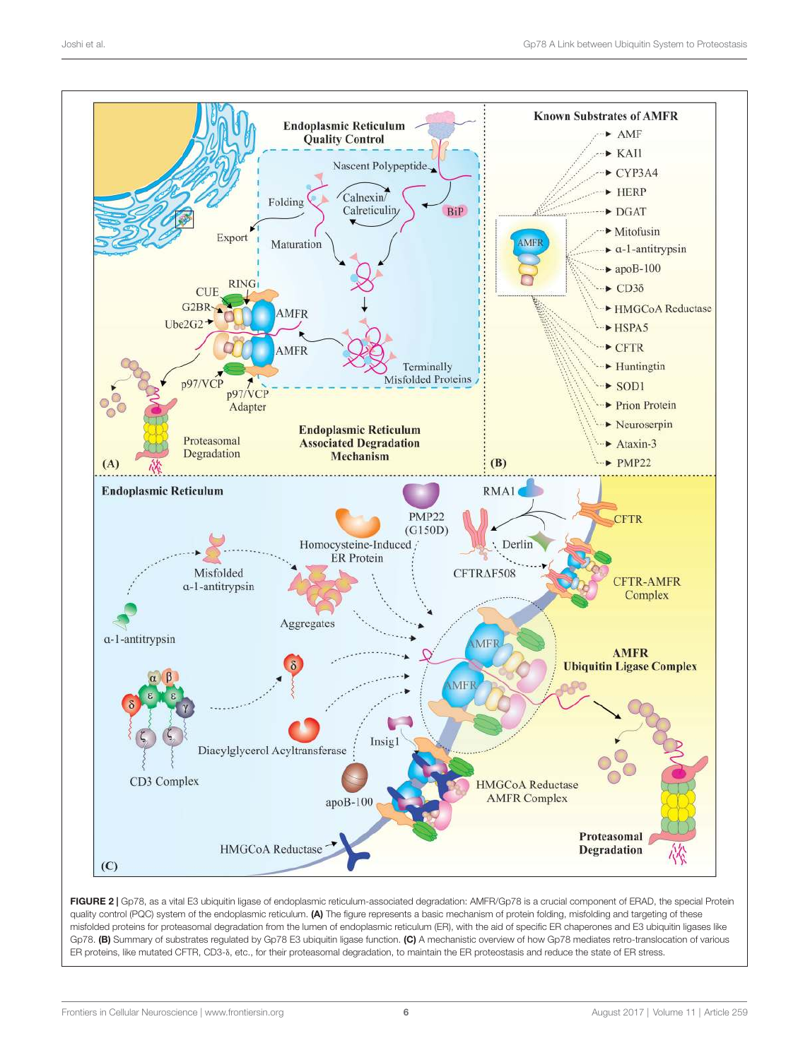

FIGURE 2 | Gp78, as a vital E3 ubiquitin ligase of endoplasmic reticulum-associated degradation: AMFR/Gp78 is a crucial component of ERAD, the special Protein quality control (PQC) system of the endoplasmic reticulum. (A) The figure represents a basic mechanism of protein folding, misfolding and targeting of these misfolded proteins for proteasomal degradation from the lumen of endoplasmic reticulum (ER), with the aid of specific ER chaperones and E3 ubiquitin ligases like Gp78. (B) Summary of substrates regulated by Gp78 E3 ubiquitin ligase function. (C) A mechanistic overview of how Gp78 mediates retro-translocation of various ER proteins, like mutated CFTR, CD3-δ, etc., for their proteasomal degradation, to maintain the ER proteostasis and reduce the state of ER stress.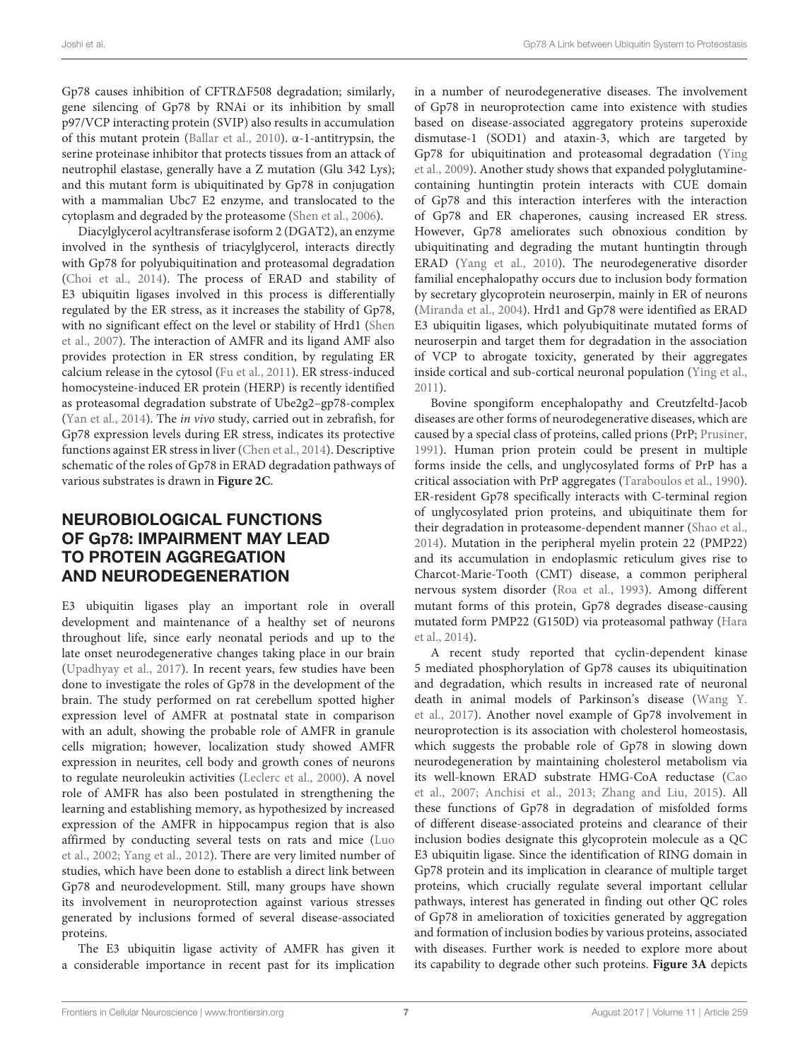Gp78 causes inhibition of CFTR∆F508 degradation; similarly, gene silencing of Gp78 by RNAi or its inhibition by small p97/VCP interacting protein (SVIP) also results in accumulation of this mutant protein (Ballar et al., 2010). α-1-antitrypsin, the serine proteinase inhibitor that protects tissues from an attack of neutrophil elastase, generally have a Z mutation (Glu 342 Lys); and this mutant form is ubiquitinated by Gp78 in conjugation with a mammalian Ubc7 E2 enzyme, and translocated to the cytoplasm and degraded by the proteasome (Shen et al., 2006).

Diacylglycerol acyltransferase isoform 2 (DGAT2), an enzyme involved in the synthesis of triacylglycerol, interacts directly with Gp78 for polyubiquitination and proteasomal degradation (Choi et al., 2014). The process of ERAD and stability of E3 ubiquitin ligases involved in this process is differentially regulated by the ER stress, as it increases the stability of Gp78, with no significant effect on the level or stability of Hrd1 (Shen et al., 2007). The interaction of AMFR and its ligand AMF also provides protection in ER stress condition, by regulating ER calcium release in the cytosol (Fu et al., 2011). ER stress-induced homocysteine-induced ER protein (HERP) is recently identified as proteasomal degradation substrate of Ube2g2–gp78-complex (Yan et al., 2014). The in vivo study, carried out in zebrafish, for Gp78 expression levels during ER stress, indicates its protective functions against ER stress in liver (Chen et al., 2014). Descriptive schematic of the roles of Gp78 in ERAD degradation pathways of various substrates is drawn in **Figure 2C**.

## NEUROBIOLOGICAL FUNCTIONS OF Gp78: IMPAIRMENT MAY LEAD TO PROTEIN AGGREGATION AND NEURODEGENERATION

E3 ubiquitin ligases play an important role in overall development and maintenance of a healthy set of neurons throughout life, since early neonatal periods and up to the late onset neurodegenerative changes taking place in our brain (Upadhyay et al., 2017). In recent years, few studies have been done to investigate the roles of Gp78 in the development of the brain. The study performed on rat cerebellum spotted higher expression level of AMFR at postnatal state in comparison with an adult, showing the probable role of AMFR in granule cells migration; however, localization study showed AMFR expression in neurites, cell body and growth cones of neurons to regulate neuroleukin activities (Leclerc et al., 2000). A novel role of AMFR has also been postulated in strengthening the learning and establishing memory, as hypothesized by increased expression of the AMFR in hippocampus region that is also affirmed by conducting several tests on rats and mice (Luo et al., 2002; Yang et al., 2012). There are very limited number of studies, which have been done to establish a direct link between Gp78 and neurodevelopment. Still, many groups have shown its involvement in neuroprotection against various stresses generated by inclusions formed of several disease-associated proteins.

The E3 ubiquitin ligase activity of AMFR has given it a considerable importance in recent past for its implication

in a number of neurodegenerative diseases. The involvement of Gp78 in neuroprotection came into existence with studies based on disease-associated aggregatory proteins superoxide dismutase-1 (SOD1) and ataxin-3, which are targeted by Gp78 for ubiquitination and proteasomal degradation (Ying et al., 2009). Another study shows that expanded polyglutaminecontaining huntingtin protein interacts with CUE domain of Gp78 and this interaction interferes with the interaction of Gp78 and ER chaperones, causing increased ER stress. However, Gp78 ameliorates such obnoxious condition by ubiquitinating and degrading the mutant huntingtin through ERAD (Yang et al., 2010). The neurodegenerative disorder familial encephalopathy occurs due to inclusion body formation by secretary glycoprotein neuroserpin, mainly in ER of neurons (Miranda et al., 2004). Hrd1 and Gp78 were identified as ERAD E3 ubiquitin ligases, which polyubiquitinate mutated forms of neuroserpin and target them for degradation in the association of VCP to abrogate toxicity, generated by their aggregates inside cortical and sub-cortical neuronal population (Ying et al., 2011).

Bovine spongiform encephalopathy and Creutzfeltd-Jacob diseases are other forms of neurodegenerative diseases, which are caused by a special class of proteins, called prions (PrP; Prusiner, 1991). Human prion protein could be present in multiple forms inside the cells, and unglycosylated forms of PrP has a critical association with PrP aggregates (Taraboulos et al., 1990). ER-resident Gp78 specifically interacts with C-terminal region of unglycosylated prion proteins, and ubiquitinate them for their degradation in proteasome-dependent manner (Shao et al., 2014). Mutation in the peripheral myelin protein 22 (PMP22) and its accumulation in endoplasmic reticulum gives rise to Charcot-Marie-Tooth (CMT) disease, a common peripheral nervous system disorder (Roa et al., 1993). Among different mutant forms of this protein, Gp78 degrades disease-causing mutated form PMP22 (G150D) via proteasomal pathway (Hara et al., 2014).

A recent study reported that cyclin-dependent kinase 5 mediated phosphorylation of Gp78 causes its ubiquitination and degradation, which results in increased rate of neuronal death in animal models of Parkinson's disease (Wang Y. et al., 2017). Another novel example of Gp78 involvement in neuroprotection is its association with cholesterol homeostasis, which suggests the probable role of Gp78 in slowing down neurodegeneration by maintaining cholesterol metabolism via its well-known ERAD substrate HMG-CoA reductase (Cao et al., 2007; Anchisi et al., 2013; Zhang and Liu, 2015). All these functions of Gp78 in degradation of misfolded forms of different disease-associated proteins and clearance of their inclusion bodies designate this glycoprotein molecule as a QC E3 ubiquitin ligase. Since the identification of RING domain in Gp78 protein and its implication in clearance of multiple target proteins, which crucially regulate several important cellular pathways, interest has generated in finding out other QC roles of Gp78 in amelioration of toxicities generated by aggregation and formation of inclusion bodies by various proteins, associated with diseases. Further work is needed to explore more about its capability to degrade other such proteins. **Figure 3A** depicts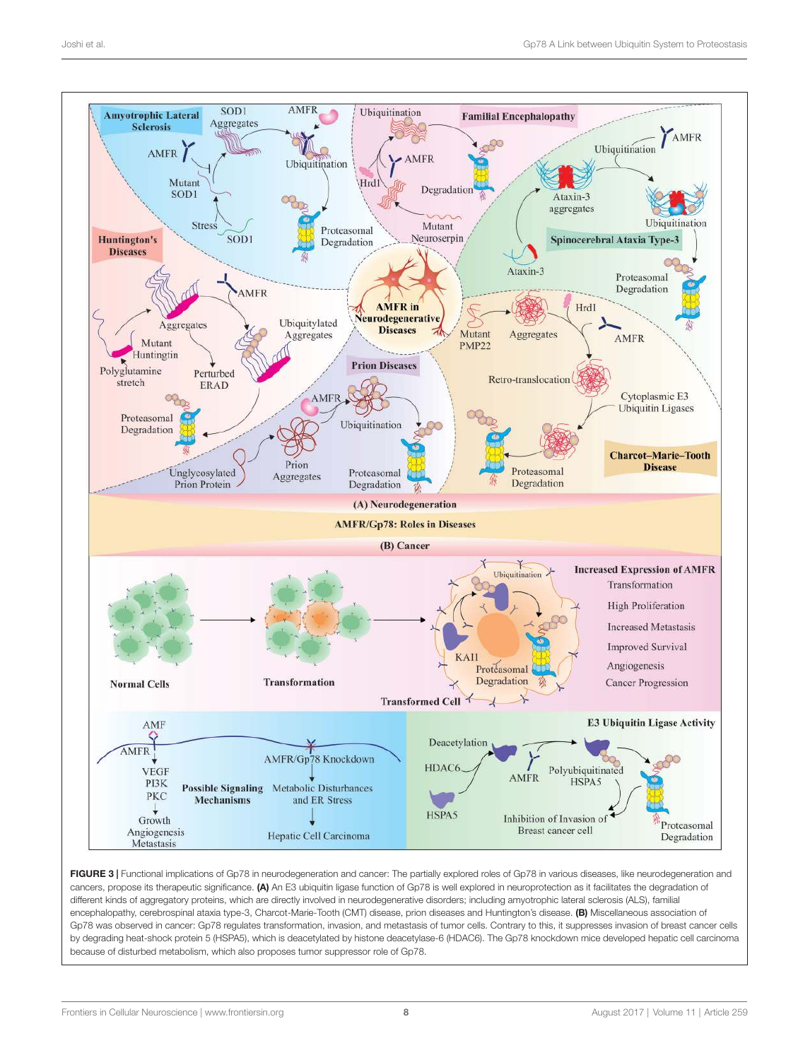

FIGURE 3 | Functional implications of Gp78 in neurodegeneration and cancer: The partially explored roles of Gp78 in various diseases, like neurodegeneration and cancers, propose its therapeutic significance. (A) An E3 ubiquitin ligase function of Gp78 is well explored in neuroprotection as it facilitates the degradation of different kinds of aggregatory proteins, which are directly involved in neurodegenerative disorders; including amyotrophic lateral sclerosis (ALS), familial encephalopathy, cerebrospinal ataxia type-3, Charcot-Marie-Tooth (CMT) disease, prion diseases and Huntington's disease. (B) Miscellaneous association of Gp78 was observed in cancer: Gp78 regulates transformation, invasion, and metastasis of tumor cells. Contrary to this, it suppresses invasion of breast cancer cells by degrading heat-shock protein 5 (HSPA5), which is deacetylated by histone deacetylase-6 (HDAC6). The Gp78 knockdown mice developed hepatic cell carcinoma because of disturbed metabolism, which also proposes tumor suppressor role of Gp78.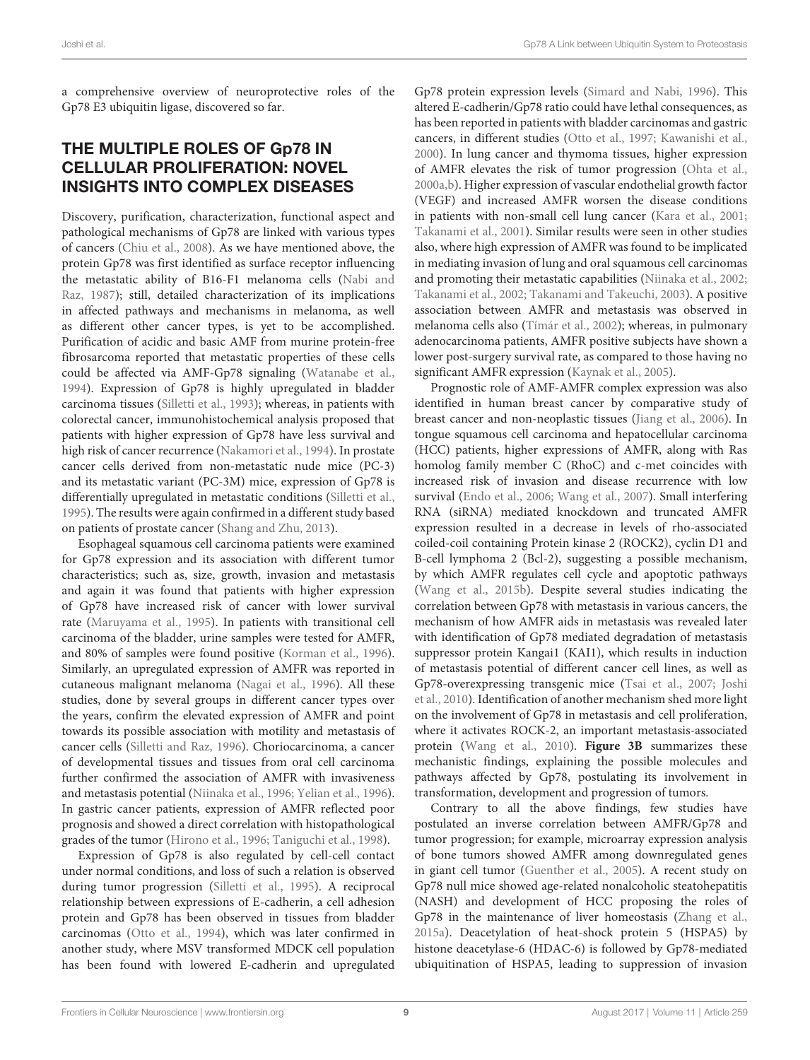a comprehensive overview of neuroprotective roles of the Gp78 E3 ubiquitin ligase, discovered so far.

#### THE MULTIPLE ROLES OF Gp78 IN CELLULAR PROLIFERATION: NOVEL INSIGHTS INTO COMPLEX DISEASES

Discovery, purification, characterization, functional aspect and pathological mechanisms of Gp78 are linked with various types of cancers (Chiu et al., 2008). As we have mentioned above, the protein Gp78 was first identified as surface receptor influencing the metastatic ability of B16-F1 melanoma cells (Nabi and Raz, 1987); still, detailed characterization of its implications in affected pathways and mechanisms in melanoma, as well as different other cancer types, is yet to be accomplished. Purification of acidic and basic AMF from murine protein-free fibrosarcoma reported that metastatic properties of these cells could be affected via AMF-Gp78 signaling (Watanabe et al., 1994). Expression of Gp78 is highly upregulated in bladder carcinoma tissues (Silletti et al., 1993); whereas, in patients with colorectal cancer, immunohistochemical analysis proposed that patients with higher expression of Gp78 have less survival and high risk of cancer recurrence (Nakamori et al., 1994). In prostate cancer cells derived from non-metastatic nude mice (PC-3) and its metastatic variant (PC-3M) mice, expression of Gp78 is differentially upregulated in metastatic conditions (Silletti et al., 1995). The results were again confirmed in a different study based on patients of prostate cancer (Shang and Zhu, 2013).

Esophageal squamous cell carcinoma patients were examined for Gp78 expression and its association with different tumor characteristics; such as, size, growth, invasion and metastasis and again it was found that patients with higher expression of Gp78 have increased risk of cancer with lower survival rate (Maruyama et al., 1995). In patients with transitional cell carcinoma of the bladder, urine samples were tested for AMFR, and 80% of samples were found positive (Korman et al., 1996). Similarly, an upregulated expression of AMFR was reported in cutaneous malignant melanoma (Nagai et al., 1996). All these studies, done by several groups in different cancer types over the years, confirm the elevated expression of AMFR and point towards its possible association with motility and metastasis of cancer cells (Silletti and Raz, 1996). Choriocarcinoma, a cancer of developmental tissues and tissues from oral cell carcinoma further confirmed the association of AMFR with invasiveness and metastasis potential (Niinaka et al., 1996; Yelian et al., 1996). In gastric cancer patients, expression of AMFR reflected poor prognosis and showed a direct correlation with histopathological grades of the tumor (Hirono et al., 1996; Taniguchi et al., 1998).

Expression of Gp78 is also regulated by cell-cell contact under normal conditions, and loss of such a relation is observed during tumor progression (Silletti et al., 1995). A reciprocal relationship between expressions of E-cadherin, a cell adhesion protein and Gp78 has been observed in tissues from bladder carcinomas (Otto et al., 1994), which was later confirmed in another study, where MSV transformed MDCK cell population has been found with lowered E-cadherin and upregulated

Gp78 protein expression levels (Simard and Nabi, 1996). This altered E-cadherin/Gp78 ratio could have lethal consequences, as has been reported in patients with bladder carcinomas and gastric cancers, in different studies (Otto et al., 1997; Kawanishi et al., 2000). In lung cancer and thymoma tissues, higher expression of AMFR elevates the risk of tumor progression (Ohta et al., 2000a,b). Higher expression of vascular endothelial growth factor (VEGF) and increased AMFR worsen the disease conditions in patients with non-small cell lung cancer (Kara et al., 2001; Takanami et al., 2001). Similar results were seen in other studies also, where high expression of AMFR was found to be implicated in mediating invasion of lung and oral squamous cell carcinomas and promoting their metastatic capabilities (Niinaka et al., 2002; Takanami et al., 2002; Takanami and Takeuchi, 2003). A positive association between AMFR and metastasis was observed in melanoma cells also (Tímár et al., 2002); whereas, in pulmonary adenocarcinoma patients, AMFR positive subjects have shown a lower post-surgery survival rate, as compared to those having no significant AMFR expression (Kaynak et al., 2005).

Prognostic role of AMF-AMFR complex expression was also identified in human breast cancer by comparative study of breast cancer and non-neoplastic tissues (Jiang et al., 2006). In tongue squamous cell carcinoma and hepatocellular carcinoma (HCC) patients, higher expressions of AMFR, along with Ras homolog family member C (RhoC) and c-met coincides with increased risk of invasion and disease recurrence with low survival (Endo et al., 2006; Wang et al., 2007). Small interfering RNA (siRNA) mediated knockdown and truncated AMFR expression resulted in a decrease in levels of rho-associated coiled-coil containing Protein kinase 2 (ROCK2), cyclin D1 and B-cell lymphoma 2 (Bcl-2), suggesting a possible mechanism, by which AMFR regulates cell cycle and apoptotic pathways (Wang et al., 2015b). Despite several studies indicating the correlation between Gp78 with metastasis in various cancers, the mechanism of how AMFR aids in metastasis was revealed later with identification of Gp78 mediated degradation of metastasis suppressor protein Kangai1 (KAI1), which results in induction of metastasis potential of different cancer cell lines, as well as Gp78-overexpressing transgenic mice (Tsai et al., 2007; Joshi et al., 2010). Identification of another mechanism shed more light on the involvement of Gp78 in metastasis and cell proliferation, where it activates ROCK-2, an important metastasis-associated protein (Wang et al., 2010). **Figure 3B** summarizes these mechanistic findings, explaining the possible molecules and pathways affected by Gp78, postulating its involvement in transformation, development and progression of tumors.

Contrary to all the above findings, few studies have postulated an inverse correlation between AMFR/Gp78 and tumor progression; for example, microarray expression analysis of bone tumors showed AMFR among downregulated genes in giant cell tumor (Guenther et al., 2005). A recent study on Gp78 null mice showed age-related nonalcoholic steatohepatitis (NASH) and development of HCC proposing the roles of Gp78 in the maintenance of liver homeostasis (Zhang et al., 2015a). Deacetylation of heat-shock protein 5 (HSPA5) by histone deacetylase-6 (HDAC-6) is followed by Gp78-mediated ubiquitination of HSPA5, leading to suppression of invasion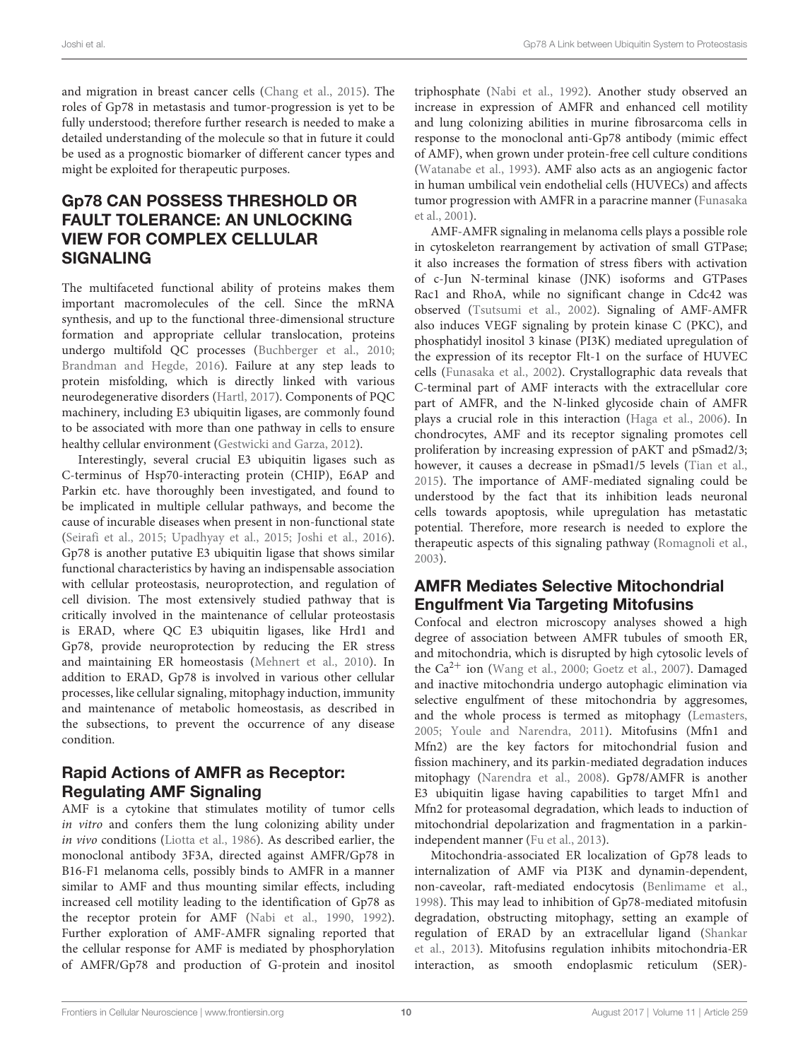and migration in breast cancer cells (Chang et al., 2015). The roles of Gp78 in metastasis and tumor-progression is yet to be fully understood; therefore further research is needed to make a detailed understanding of the molecule so that in future it could be used as a prognostic biomarker of different cancer types and might be exploited for therapeutic purposes.

## Gp78 CAN POSSESS THRESHOLD OR FAULT TOLERANCE: AN UNLOCKING VIEW FOR COMPLEX CELLULAR SIGNALING

The multifaceted functional ability of proteins makes them important macromolecules of the cell. Since the mRNA synthesis, and up to the functional three-dimensional structure formation and appropriate cellular translocation, proteins undergo multifold QC processes (Buchberger et al., 2010; Brandman and Hegde, 2016). Failure at any step leads to protein misfolding, which is directly linked with various neurodegenerative disorders (Hartl, 2017). Components of PQC machinery, including E3 ubiquitin ligases, are commonly found to be associated with more than one pathway in cells to ensure healthy cellular environment (Gestwicki and Garza, 2012).

Interestingly, several crucial E3 ubiquitin ligases such as C-terminus of Hsp70-interacting protein (CHIP), E6AP and Parkin etc. have thoroughly been investigated, and found to be implicated in multiple cellular pathways, and become the cause of incurable diseases when present in non-functional state (Seirafi et al., 2015; Upadhyay et al., 2015; Joshi et al., 2016). Gp78 is another putative E3 ubiquitin ligase that shows similar functional characteristics by having an indispensable association with cellular proteostasis, neuroprotection, and regulation of cell division. The most extensively studied pathway that is critically involved in the maintenance of cellular proteostasis is ERAD, where QC E3 ubiquitin ligases, like Hrd1 and Gp78, provide neuroprotection by reducing the ER stress and maintaining ER homeostasis (Mehnert et al., 2010). In addition to ERAD, Gp78 is involved in various other cellular processes, like cellular signaling, mitophagy induction, immunity and maintenance of metabolic homeostasis, as described in the subsections, to prevent the occurrence of any disease condition.

#### Rapid Actions of AMFR as Receptor: Regulating AMF Signaling

AMF is a cytokine that stimulates motility of tumor cells in vitro and confers them the lung colonizing ability under in vivo conditions (Liotta et al., 1986). As described earlier, the monoclonal antibody 3F3A, directed against AMFR/Gp78 in B16-F1 melanoma cells, possibly binds to AMFR in a manner similar to AMF and thus mounting similar effects, including increased cell motility leading to the identification of Gp78 as the receptor protein for AMF (Nabi et al., 1990, 1992). Further exploration of AMF-AMFR signaling reported that the cellular response for AMF is mediated by phosphorylation of AMFR/Gp78 and production of G-protein and inositol triphosphate (Nabi et al., 1992). Another study observed an increase in expression of AMFR and enhanced cell motility and lung colonizing abilities in murine fibrosarcoma cells in response to the monoclonal anti-Gp78 antibody (mimic effect of AMF), when grown under protein-free cell culture conditions (Watanabe et al., 1993). AMF also acts as an angiogenic factor in human umbilical vein endothelial cells (HUVECs) and affects tumor progression with AMFR in a paracrine manner (Funasaka et al., 2001).

AMF-AMFR signaling in melanoma cells plays a possible role in cytoskeleton rearrangement by activation of small GTPase; it also increases the formation of stress fibers with activation of c-Jun N-terminal kinase (JNK) isoforms and GTPases Rac1 and RhoA, while no significant change in Cdc42 was observed (Tsutsumi et al., 2002). Signaling of AMF-AMFR also induces VEGF signaling by protein kinase C (PKC), and phosphatidyl inositol 3 kinase (PI3K) mediated upregulation of the expression of its receptor Flt-1 on the surface of HUVEC cells (Funasaka et al., 2002). Crystallographic data reveals that C-terminal part of AMF interacts with the extracellular core part of AMFR, and the N-linked glycoside chain of AMFR plays a crucial role in this interaction (Haga et al., 2006). In chondrocytes, AMF and its receptor signaling promotes cell proliferation by increasing expression of pAKT and pSmad2/3; however, it causes a decrease in pSmad1/5 levels (Tian et al., 2015). The importance of AMF-mediated signaling could be understood by the fact that its inhibition leads neuronal cells towards apoptosis, while upregulation has metastatic potential. Therefore, more research is needed to explore the therapeutic aspects of this signaling pathway (Romagnoli et al., 2003).

#### AMFR Mediates Selective Mitochondrial Engulfment Via Targeting Mitofusins

Confocal and electron microscopy analyses showed a high degree of association between AMFR tubules of smooth ER, and mitochondria, which is disrupted by high cytosolic levels of the  $Ca^{2+}$  ion (Wang et al., 2000; Goetz et al., 2007). Damaged and inactive mitochondria undergo autophagic elimination via selective engulfment of these mitochondria by aggresomes, and the whole process is termed as mitophagy (Lemasters, 2005; Youle and Narendra, 2011). Mitofusins (Mfn1 and Mfn2) are the key factors for mitochondrial fusion and fission machinery, and its parkin-mediated degradation induces mitophagy (Narendra et al., 2008). Gp78/AMFR is another E3 ubiquitin ligase having capabilities to target Mfn1 and Mfn2 for proteasomal degradation, which leads to induction of mitochondrial depolarization and fragmentation in a parkinindependent manner (Fu et al., 2013).

Mitochondria-associated ER localization of Gp78 leads to internalization of AMF via PI3K and dynamin-dependent, non-caveolar, raft-mediated endocytosis (Benlimame et al., 1998). This may lead to inhibition of Gp78-mediated mitofusin degradation, obstructing mitophagy, setting an example of regulation of ERAD by an extracellular ligand (Shankar et al., 2013). Mitofusins regulation inhibits mitochondria-ER interaction, as smooth endoplasmic reticulum (SER)-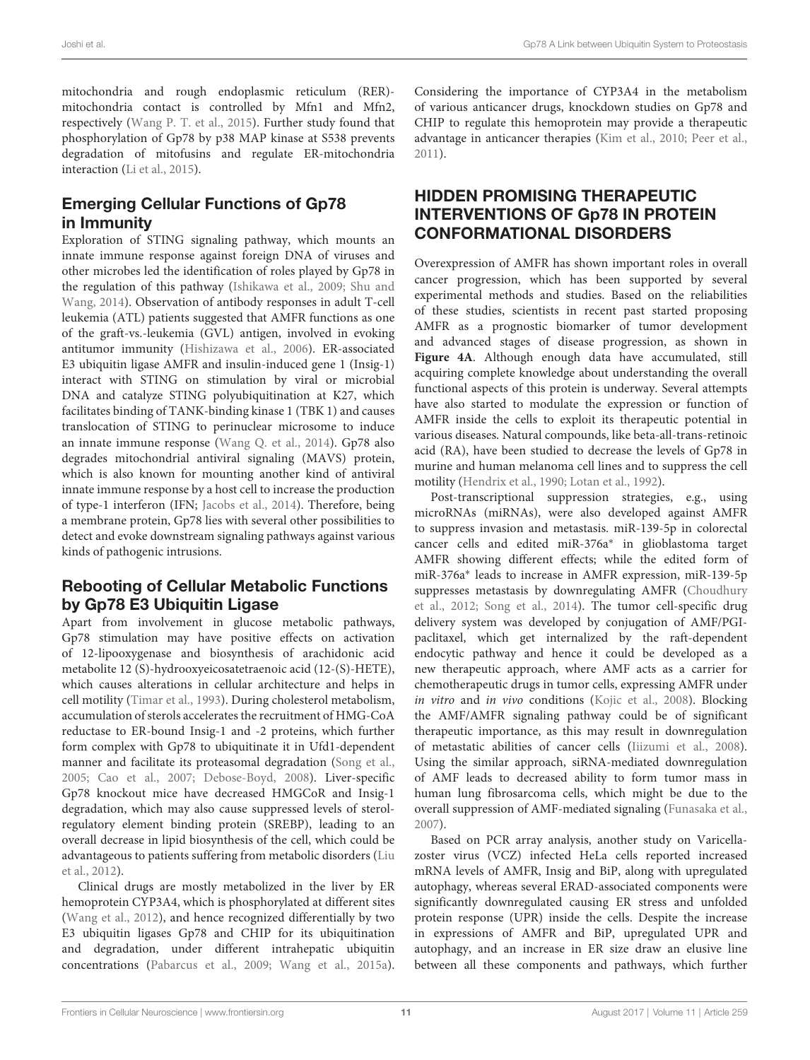mitochondria and rough endoplasmic reticulum (RER) mitochondria contact is controlled by Mfn1 and Mfn2, respectively (Wang P. T. et al., 2015). Further study found that phosphorylation of Gp78 by p38 MAP kinase at S538 prevents degradation of mitofusins and regulate ER-mitochondria interaction (Li et al., 2015).

#### Emerging Cellular Functions of Gp78 in Immunity

Exploration of STING signaling pathway, which mounts an innate immune response against foreign DNA of viruses and other microbes led the identification of roles played by Gp78 in the regulation of this pathway (Ishikawa et al., 2009; Shu and Wang, 2014). Observation of antibody responses in adult T-cell leukemia (ATL) patients suggested that AMFR functions as one of the graft-vs.-leukemia (GVL) antigen, involved in evoking antitumor immunity (Hishizawa et al., 2006). ER-associated E3 ubiquitin ligase AMFR and insulin-induced gene 1 (Insig-1) interact with STING on stimulation by viral or microbial DNA and catalyze STING polyubiquitination at K27, which facilitates binding of TANK-binding kinase 1 (TBK 1) and causes translocation of STING to perinuclear microsome to induce an innate immune response (Wang Q. et al., 2014). Gp78 also degrades mitochondrial antiviral signaling (MAVS) protein, which is also known for mounting another kind of antiviral innate immune response by a host cell to increase the production of type-1 interferon (IFN; Jacobs et al., 2014). Therefore, being a membrane protein, Gp78 lies with several other possibilities to detect and evoke downstream signaling pathways against various kinds of pathogenic intrusions.

### Rebooting of Cellular Metabolic Functions by Gp78 E3 Ubiquitin Ligase

Apart from involvement in glucose metabolic pathways, Gp78 stimulation may have positive effects on activation of 12-lipooxygenase and biosynthesis of arachidonic acid metabolite 12 (S)-hydrooxyeicosatetraenoic acid (12-(S)-HETE), which causes alterations in cellular architecture and helps in cell motility (Timar et al., 1993). During cholesterol metabolism, accumulation of sterols accelerates the recruitment of HMG-CoA reductase to ER-bound Insig-1 and -2 proteins, which further form complex with Gp78 to ubiquitinate it in Ufd1-dependent manner and facilitate its proteasomal degradation (Song et al., 2005; Cao et al., 2007; Debose-Boyd, 2008). Liver-specific Gp78 knockout mice have decreased HMGCoR and Insig-1 degradation, which may also cause suppressed levels of sterolregulatory element binding protein (SREBP), leading to an overall decrease in lipid biosynthesis of the cell, which could be advantageous to patients suffering from metabolic disorders (Liu et al., 2012).

Clinical drugs are mostly metabolized in the liver by ER hemoprotein CYP3A4, which is phosphorylated at different sites (Wang et al., 2012), and hence recognized differentially by two E3 ubiquitin ligases Gp78 and CHIP for its ubiquitination and degradation, under different intrahepatic ubiquitin concentrations (Pabarcus et al., 2009; Wang et al., 2015a). Considering the importance of CYP3A4 in the metabolism of various anticancer drugs, knockdown studies on Gp78 and CHIP to regulate this hemoprotein may provide a therapeutic advantage in anticancer therapies (Kim et al., 2010; Peer et al., 2011).

## HIDDEN PROMISING THERAPEUTIC INTERVENTIONS OF Gp78 IN PROTEIN CONFORMATIONAL DISORDERS

Overexpression of AMFR has shown important roles in overall cancer progression, which has been supported by several experimental methods and studies. Based on the reliabilities of these studies, scientists in recent past started proposing AMFR as a prognostic biomarker of tumor development and advanced stages of disease progression, as shown in **Figure 4A**. Although enough data have accumulated, still acquiring complete knowledge about understanding the overall functional aspects of this protein is underway. Several attempts have also started to modulate the expression or function of AMFR inside the cells to exploit its therapeutic potential in various diseases. Natural compounds, like beta-all-trans-retinoic acid (RA), have been studied to decrease the levels of Gp78 in murine and human melanoma cell lines and to suppress the cell motility (Hendrix et al., 1990; Lotan et al., 1992).

Post-transcriptional suppression strategies, e.g., using microRNAs (miRNAs), were also developed against AMFR to suppress invasion and metastasis. miR-139-5p in colorectal cancer cells and edited miR-376a<sup>∗</sup> in glioblastoma target AMFR showing different effects; while the edited form of miR-376a<sup>∗</sup> leads to increase in AMFR expression, miR-139-5p suppresses metastasis by downregulating AMFR (Choudhury et al., 2012; Song et al., 2014). The tumor cell-specific drug delivery system was developed by conjugation of AMF/PGIpaclitaxel, which get internalized by the raft-dependent endocytic pathway and hence it could be developed as a new therapeutic approach, where AMF acts as a carrier for chemotherapeutic drugs in tumor cells, expressing AMFR under in vitro and in vivo conditions (Kojic et al., 2008). Blocking the AMF/AMFR signaling pathway could be of significant therapeutic importance, as this may result in downregulation of metastatic abilities of cancer cells (Iiizumi et al., 2008). Using the similar approach, siRNA-mediated downregulation of AMF leads to decreased ability to form tumor mass in human lung fibrosarcoma cells, which might be due to the overall suppression of AMF-mediated signaling (Funasaka et al., 2007).

Based on PCR array analysis, another study on Varicellazoster virus (VCZ) infected HeLa cells reported increased mRNA levels of AMFR, Insig and BiP, along with upregulated autophagy, whereas several ERAD-associated components were significantly downregulated causing ER stress and unfolded protein response (UPR) inside the cells. Despite the increase in expressions of AMFR and BiP, upregulated UPR and autophagy, and an increase in ER size draw an elusive line between all these components and pathways, which further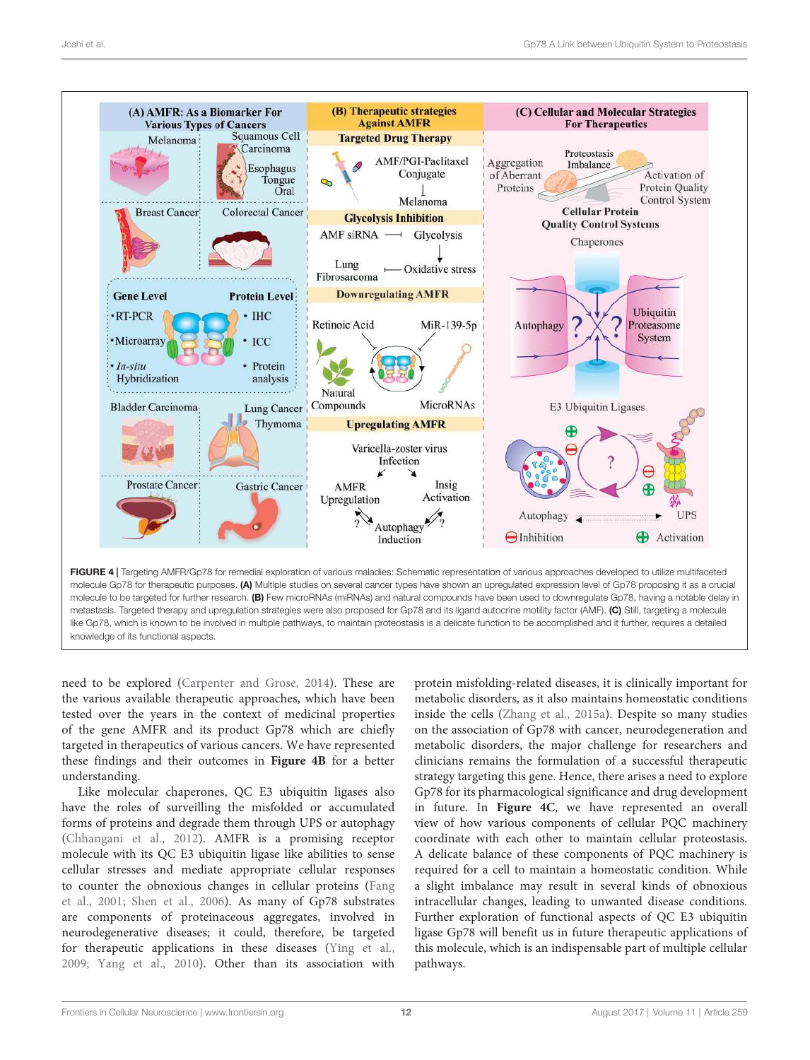

metastasis. Targeted therapy and upregulation strategies were also proposed for Gp78 and its ligand autocrine motility factor (AMF). (C) Still, targeting a molecule like Gp78, which is known to be involved in multiple pathways, to maintain proteostasis is a delicate function to be accomplished and it further, requires a detailed knowledge of its functional aspects.

need to be explored (Carpenter and Grose, 2014). These are the various available therapeutic approaches, which have been tested over the years in the context of medicinal properties of the gene AMFR and its product Gp78 which are chiefly targeted in therapeutics of various cancers. We have represented these findings and their outcomes in **Figure 4B** for a better understanding.

Like molecular chaperones, QC E3 ubiquitin ligases also have the roles of surveilling the misfolded or accumulated forms of proteins and degrade them through UPS or autophagy (Chhangani et al., 2012). AMFR is a promising receptor molecule with its QC E3 ubiquitin ligase like abilities to sense cellular stresses and mediate appropriate cellular responses to counter the obnoxious changes in cellular proteins (Fang et al., 2001; Shen et al., 2006). As many of Gp78 substrates are components of proteinaceous aggregates, involved in neurodegenerative diseases; it could, therefore, be targeted for therapeutic applications in these diseases (Ying et al., 2009; Yang et al., 2010). Other than its association with

protein misfolding-related diseases, it is clinically important for metabolic disorders, as it also maintains homeostatic conditions inside the cells (Zhang et al., 2015a). Despite so many studies on the association of Gp78 with cancer, neurodegeneration and metabolic disorders, the major challenge for researchers and clinicians remains the formulation of a successful therapeutic strategy targeting this gene. Hence, there arises a need to explore Gp78 for its pharmacological significance and drug development in future. In **Figure 4C**, we have represented an overall view of how various components of cellular PQC machinery coordinate with each other to maintain cellular proteostasis. A delicate balance of these components of PQC machinery is required for a cell to maintain a homeostatic condition. While a slight imbalance may result in several kinds of obnoxious intracellular changes, leading to unwanted disease conditions. Further exploration of functional aspects of QC E3 ubiquitin ligase Gp78 will benefit us in future therapeutic applications of this molecule, which is an indispensable part of multiple cellular pathways.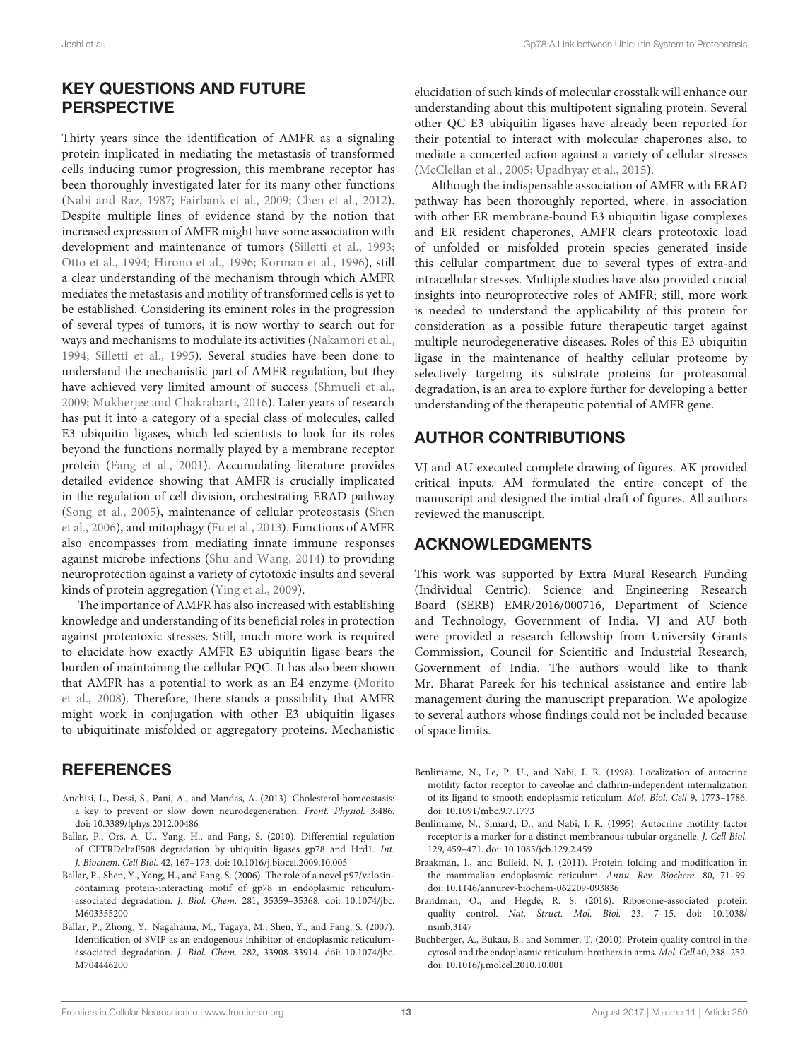#### KEY QUESTIONS AND FUTURE PERSPECTIVE

Thirty years since the identification of AMFR as a signaling protein implicated in mediating the metastasis of transformed cells inducing tumor progression, this membrane receptor has been thoroughly investigated later for its many other functions (Nabi and Raz, 1987; Fairbank et al., 2009; Chen et al., 2012). Despite multiple lines of evidence stand by the notion that increased expression of AMFR might have some association with development and maintenance of tumors (Silletti et al., 1993; Otto et al., 1994; Hirono et al., 1996; Korman et al., 1996), still a clear understanding of the mechanism through which AMFR mediates the metastasis and motility of transformed cells is yet to be established. Considering its eminent roles in the progression of several types of tumors, it is now worthy to search out for ways and mechanisms to modulate its activities (Nakamori et al., 1994; Silletti et al., 1995). Several studies have been done to understand the mechanistic part of AMFR regulation, but they have achieved very limited amount of success (Shmueli et al., 2009; Mukherjee and Chakrabarti, 2016). Later years of research has put it into a category of a special class of molecules, called E3 ubiquitin ligases, which led scientists to look for its roles beyond the functions normally played by a membrane receptor protein (Fang et al., 2001). Accumulating literature provides detailed evidence showing that AMFR is crucially implicated in the regulation of cell division, orchestrating ERAD pathway (Song et al., 2005), maintenance of cellular proteostasis (Shen et al., 2006), and mitophagy (Fu et al., 2013). Functions of AMFR also encompasses from mediating innate immune responses against microbe infections (Shu and Wang, 2014) to providing neuroprotection against a variety of cytotoxic insults and several kinds of protein aggregation (Ying et al., 2009).

The importance of AMFR has also increased with establishing knowledge and understanding of its beneficial roles in protection against proteotoxic stresses. Still, much more work is required to elucidate how exactly AMFR E3 ubiquitin ligase bears the burden of maintaining the cellular PQC. It has also been shown that AMFR has a potential to work as an E4 enzyme (Morito et al., 2008). Therefore, there stands a possibility that AMFR might work in conjugation with other E3 ubiquitin ligases to ubiquitinate misfolded or aggregatory proteins. Mechanistic

#### **REFERENCES**

- Anchisi, L., Dessi, S., Pani, A., and Mandas, A. (2013). Cholesterol homeostasis: a key to prevent or slow down neurodegeneration. Front. Physiol. 3:486. doi: 10.3389/fphys.2012.00486
- Ballar, P., Ors, A. U., Yang, H., and Fang, S. (2010). Differential regulation of CFTRDeltaF508 degradation by ubiquitin ligases gp78 and Hrd1. Int. J. Biochem. Cell Biol. 42, 167–173. doi: 10.1016/j.biocel.2009.10.005
- Ballar, P., Shen, Y., Yang, H., and Fang, S. (2006). The role of a novel p97/valosincontaining protein-interacting motif of gp78 in endoplasmic reticulumassociated degradation. J. Biol. Chem. 281, 35359–35368. doi: 10.1074/jbc. M603355200
- Ballar, P., Zhong, Y., Nagahama, M., Tagaya, M., Shen, Y., and Fang, S. (2007). Identification of SVIP as an endogenous inhibitor of endoplasmic reticulumassociated degradation. J. Biol. Chem. 282, 33908–33914. doi: 10.1074/jbc. M704446200

elucidation of such kinds of molecular crosstalk will enhance our understanding about this multipotent signaling protein. Several other QC E3 ubiquitin ligases have already been reported for their potential to interact with molecular chaperones also, to mediate a concerted action against a variety of cellular stresses (McClellan et al., 2005; Upadhyay et al., 2015).

Although the indispensable association of AMFR with ERAD pathway has been thoroughly reported, where, in association with other ER membrane-bound E3 ubiquitin ligase complexes and ER resident chaperones, AMFR clears proteotoxic load of unfolded or misfolded protein species generated inside this cellular compartment due to several types of extra-and intracellular stresses. Multiple studies have also provided crucial insights into neuroprotective roles of AMFR; still, more work is needed to understand the applicability of this protein for consideration as a possible future therapeutic target against multiple neurodegenerative diseases. Roles of this E3 ubiquitin ligase in the maintenance of healthy cellular proteome by selectively targeting its substrate proteins for proteasomal degradation, is an area to explore further for developing a better understanding of the therapeutic potential of AMFR gene.

#### AUTHOR CONTRIBUTIONS

VJ and AU executed complete drawing of figures. AK provided critical inputs. AM formulated the entire concept of the manuscript and designed the initial draft of figures. All authors reviewed the manuscript.

#### ACKNOWLEDGMENTS

This work was supported by Extra Mural Research Funding (Individual Centric): Science and Engineering Research Board (SERB) EMR/2016/000716, Department of Science and Technology, Government of India. VJ and AU both were provided a research fellowship from University Grants Commission, Council for Scientific and Industrial Research, Government of India. The authors would like to thank Mr. Bharat Pareek for his technical assistance and entire lab management during the manuscript preparation. We apologize to several authors whose findings could not be included because of space limits.

- Benlimame, N., Le, P. U., and Nabi, I. R. (1998). Localization of autocrine motility factor receptor to caveolae and clathrin-independent internalization of its ligand to smooth endoplasmic reticulum. Mol. Biol. Cell 9, 1773–1786. doi: 10.1091/mbc.9.7.1773
- Benlimame, N., Simard, D., and Nabi, I. R. (1995). Autocrine motility factor receptor is a marker for a distinct membranous tubular organelle. J. Cell Biol. 129, 459–471. doi: 10.1083/jcb.129.2.459
- Braakman, I., and Bulleid, N. J. (2011). Protein folding and modification in the mammalian endoplasmic reticulum. Annu. Rev. Biochem. 80, 71–99. doi: 10.1146/annurev-biochem-062209-093836
- Brandman, O., and Hegde, R. S. (2016). Ribosome-associated protein quality control. Nat. Struct. Mol. Biol. 23, 7–15. doi: 10.1038/ nsmb.3147
- Buchberger, A., Bukau, B., and Sommer, T. (2010). Protein quality control in the cytosol and the endoplasmic reticulum: brothers in arms. Mol. Cell 40, 238–252. doi: 10.1016/j.molcel.2010.10.001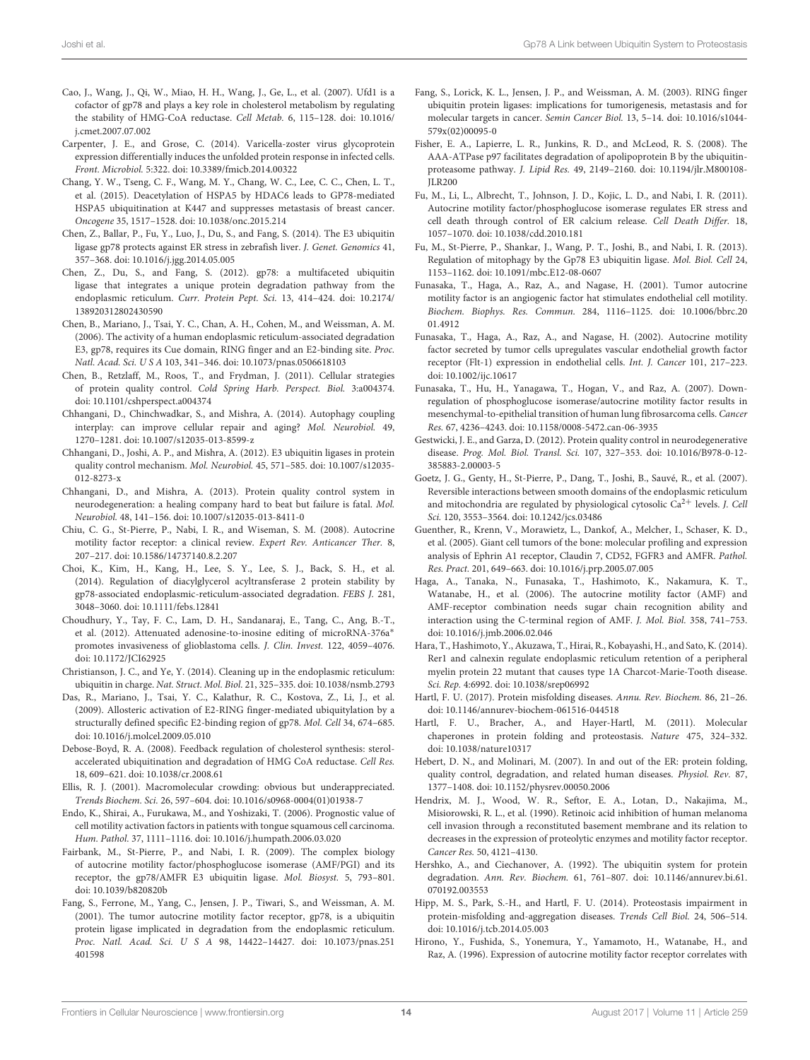- Cao, J., Wang, J., Qi, W., Miao, H. H., Wang, J., Ge, L., et al. (2007). Ufd1 is a cofactor of gp78 and plays a key role in cholesterol metabolism by regulating the stability of HMG-CoA reductase. Cell Metab. 6, 115–128. doi: 10.1016/ j.cmet.2007.07.002
- Carpenter, J. E., and Grose, C. (2014). Varicella-zoster virus glycoprotein expression differentially induces the unfolded protein response in infected cells. Front. Microbiol. 5:322. doi: 10.3389/fmicb.2014.00322
- Chang, Y. W., Tseng, C. F., Wang, M. Y., Chang, W. C., Lee, C. C., Chen, L. T., et al. (2015). Deacetylation of HSPA5 by HDAC6 leads to GP78-mediated HSPA5 ubiquitination at K447 and suppresses metastasis of breast cancer. Oncogene 35, 1517–1528. doi: 10.1038/onc.2015.214
- Chen, Z., Ballar, P., Fu, Y., Luo, J., Du, S., and Fang, S. (2014). The E3 ubiquitin ligase gp78 protects against ER stress in zebrafish liver. J. Genet. Genomics 41, 357–368. doi: 10.1016/j.jgg.2014.05.005
- Chen, Z., Du, S., and Fang, S. (2012). gp78: a multifaceted ubiquitin ligase that integrates a unique protein degradation pathway from the endoplasmic reticulum. Curr. Protein Pept. Sci. 13, 414–424. doi: 10.2174/ 138920312802430590
- Chen, B., Mariano, J., Tsai, Y. C., Chan, A. H., Cohen, M., and Weissman, A. M. (2006). The activity of a human endoplasmic reticulum-associated degradation E3, gp78, requires its Cue domain, RING finger and an E2-binding site. Proc. Natl. Acad. Sci. U S A 103, 341–346. doi: 10.1073/pnas.0506618103
- Chen, B., Retzlaff, M., Roos, T., and Frydman, J. (2011). Cellular strategies of protein quality control. Cold Spring Harb. Perspect. Biol. 3:a004374. doi: 10.1101/cshperspect.a004374
- Chhangani, D., Chinchwadkar, S., and Mishra, A. (2014). Autophagy coupling interplay: can improve cellular repair and aging? Mol. Neurobiol. 49, 1270–1281. doi: 10.1007/s12035-013-8599-z
- Chhangani, D., Joshi, A. P., and Mishra, A. (2012). E3 ubiquitin ligases in protein quality control mechanism. Mol. Neurobiol. 45, 571–585. doi: 10.1007/s12035- 012-8273-x
- Chhangani, D., and Mishra, A. (2013). Protein quality control system in neurodegeneration: a healing company hard to beat but failure is fatal. Mol. Neurobiol. 48, 141–156. doi: 10.1007/s12035-013-8411-0
- Chiu, C. G., St-Pierre, P., Nabi, I. R., and Wiseman, S. M. (2008). Autocrine motility factor receptor: a clinical review. Expert Rev. Anticancer Ther. 8, 207–217. doi: 10.1586/14737140.8.2.207
- Choi, K., Kim, H., Kang, H., Lee, S. Y., Lee, S. J., Back, S. H., et al. (2014). Regulation of diacylglycerol acyltransferase 2 protein stability by gp78-associated endoplasmic-reticulum-associated degradation. FEBS J. 281, 3048–3060. doi: 10.1111/febs.12841
- Choudhury, Y., Tay, F. C., Lam, D. H., Sandanaraj, E., Tang, C., Ang, B.-T., et al. (2012). Attenuated adenosine-to-inosine editing of microRNA-376a<sup>∗</sup> promotes invasiveness of glioblastoma cells. J. Clin. Invest. 122, 4059–4076. doi: 10.1172/JCI62925
- Christianson, J. C., and Ye, Y. (2014). Cleaning up in the endoplasmic reticulum: ubiquitin in charge. Nat. Struct. Mol. Biol. 21, 325–335. doi: 10.1038/nsmb.2793
- Das, R., Mariano, J., Tsai, Y. C., Kalathur, R. C., Kostova, Z., Li, J., et al. (2009). Allosteric activation of E2-RING finger-mediated ubiquitylation by a structurally defined specific E2-binding region of gp78. Mol. Cell 34, 674–685. doi: 10.1016/j.molcel.2009.05.010
- Debose-Boyd, R. A. (2008). Feedback regulation of cholesterol synthesis: sterolaccelerated ubiquitination and degradation of HMG CoA reductase. Cell Res. 18, 609–621. doi: 10.1038/cr.2008.61
- Ellis, R. J. (2001). Macromolecular crowding: obvious but underappreciated. Trends Biochem. Sci. 26, 597–604. doi: 10.1016/s0968-0004(01)01938-7
- Endo, K., Shirai, A., Furukawa, M., and Yoshizaki, T. (2006). Prognostic value of cell motility activation factors in patients with tongue squamous cell carcinoma. Hum. Pathol. 37, 1111–1116. doi: 10.1016/j.humpath.2006.03.020
- Fairbank, M., St-Pierre, P., and Nabi, I. R. (2009). The complex biology of autocrine motility factor/phosphoglucose isomerase (AMF/PGI) and its receptor, the gp78/AMFR E3 ubiquitin ligase. Mol. Biosyst. 5, 793–801. doi: 10.1039/b820820b
- Fang, S., Ferrone, M., Yang, C., Jensen, J. P., Tiwari, S., and Weissman, A. M. (2001). The tumor autocrine motility factor receptor, gp78, is a ubiquitin protein ligase implicated in degradation from the endoplasmic reticulum. Proc. Natl. Acad. Sci. U S A 98, 14422–14427. doi: 10.1073/pnas.251 401598
- Fang, S., Lorick, K. L., Jensen, J. P., and Weissman, A. M. (2003). RING finger ubiquitin protein ligases: implications for tumorigenesis, metastasis and for molecular targets in cancer. Semin Cancer Biol. 13, 5–14. doi: 10.1016/s1044- 579x(02)00095-0
- Fisher, E. A., Lapierre, L. R., Junkins, R. D., and McLeod, R. S. (2008). The AAA-ATPase p97 facilitates degradation of apolipoprotein B by the ubiquitinproteasome pathway. J. Lipid Res. 49, 2149–2160. doi: 10.1194/jlr.M800108- JLR200
- Fu, M., Li, L., Albrecht, T., Johnson, J. D., Kojic, L. D., and Nabi, I. R. (2011). Autocrine motility factor/phosphoglucose isomerase regulates ER stress and cell death through control of ER calcium release. Cell Death Differ. 18, 1057–1070. doi: 10.1038/cdd.2010.181
- Fu, M., St-Pierre, P., Shankar, J., Wang, P. T., Joshi, B., and Nabi, I. R. (2013). Regulation of mitophagy by the Gp78 E3 ubiquitin ligase. Mol. Biol. Cell 24, 1153–1162. doi: 10.1091/mbc.E12-08-0607
- Funasaka, T., Haga, A., Raz, A., and Nagase, H. (2001). Tumor autocrine motility factor is an angiogenic factor hat stimulates endothelial cell motility. Biochem. Biophys. Res. Commun. 284, 1116–1125. doi: 10.1006/bbrc.20 01.4912
- Funasaka, T., Haga, A., Raz, A., and Nagase, H. (2002). Autocrine motility factor secreted by tumor cells upregulates vascular endothelial growth factor receptor (Flt-1) expression in endothelial cells. Int. J. Cancer 101, 217–223. doi: 10.1002/ijc.10617
- Funasaka, T., Hu, H., Yanagawa, T., Hogan, V., and Raz, A. (2007). Downregulation of phosphoglucose isomerase/autocrine motility factor results in mesenchymal-to-epithelial transition of human lung fibrosarcoma cells. Cancer Res. 67, 4236–4243. doi: 10.1158/0008-5472.can-06-3935
- Gestwicki, J. E., and Garza, D. (2012). Protein quality control in neurodegenerative disease. Prog. Mol. Biol. Transl. Sci. 107, 327–353. doi: 10.1016/B978-0-12- 385883-2.00003-5
- Goetz, J. G., Genty, H., St-Pierre, P., Dang, T., Joshi, B., Sauvé, R., et al. (2007). Reversible interactions between smooth domains of the endoplasmic reticulum and mitochondria are regulated by physiological cytosolic  $Ca^{2+}$  levels. *J. Cell* Sci. 120, 3553–3564. doi: 10.1242/jcs.03486
- Guenther, R., Krenn, V., Morawietz, L., Dankof, A., Melcher, I., Schaser, K. D., et al. (2005). Giant cell tumors of the bone: molecular profiling and expression analysis of Ephrin A1 receptor, Claudin 7, CD52, FGFR3 and AMFR. Pathol. Res. Pract. 201, 649–663. doi: 10.1016/j.prp.2005.07.005
- Haga, A., Tanaka, N., Funasaka, T., Hashimoto, K., Nakamura, K. T., Watanabe, H., et al. (2006). The autocrine motility factor (AMF) and AMF-receptor combination needs sugar chain recognition ability and interaction using the C-terminal region of AMF. J. Mol. Biol. 358, 741–753. doi: 10.1016/j.jmb.2006.02.046
- Hara, T., Hashimoto, Y., Akuzawa, T., Hirai, R., Kobayashi, H., and Sato, K. (2014). Rer1 and calnexin regulate endoplasmic reticulum retention of a peripheral myelin protein 22 mutant that causes type 1A Charcot-Marie-Tooth disease. Sci. Rep. 4:6992. doi: 10.1038/srep06992
- Hartl, F. U. (2017). Protein misfolding diseases. Annu. Rev. Biochem. 86, 21–26. doi: 10.1146/annurev-biochem-061516-044518
- Hartl, F. U., Bracher, A., and Hayer-Hartl, M. (2011). Molecular chaperones in protein folding and proteostasis. Nature 475, 324-332. doi: 10.1038/nature10317
- Hebert, D. N., and Molinari, M. (2007). In and out of the ER: protein folding, quality control, degradation, and related human diseases. Physiol. Rev. 87, 1377–1408. doi: 10.1152/physrev.00050.2006
- Hendrix, M. J., Wood, W. R., Seftor, E. A., Lotan, D., Nakajima, M., Misiorowski, R. L., et al. (1990). Retinoic acid inhibition of human melanoma cell invasion through a reconstituted basement membrane and its relation to decreases in the expression of proteolytic enzymes and motility factor receptor. Cancer Res. 50, 4121–4130.
- Hershko, A., and Ciechanover, A. (1992). The ubiquitin system for protein degradation. Ann. Rev. Biochem. 61, 761–807. doi: 10.1146/annurev.bi.61. 070192.003553
- Hipp, M. S., Park, S.-H., and Hartl, F. U. (2014). Proteostasis impairment in protein-misfolding and-aggregation diseases. Trends Cell Biol. 24, 506–514. doi: 10.1016/j.tcb.2014.05.003
- Hirono, Y., Fushida, S., Yonemura, Y., Yamamoto, H., Watanabe, H., and Raz, A. (1996). Expression of autocrine motility factor receptor correlates with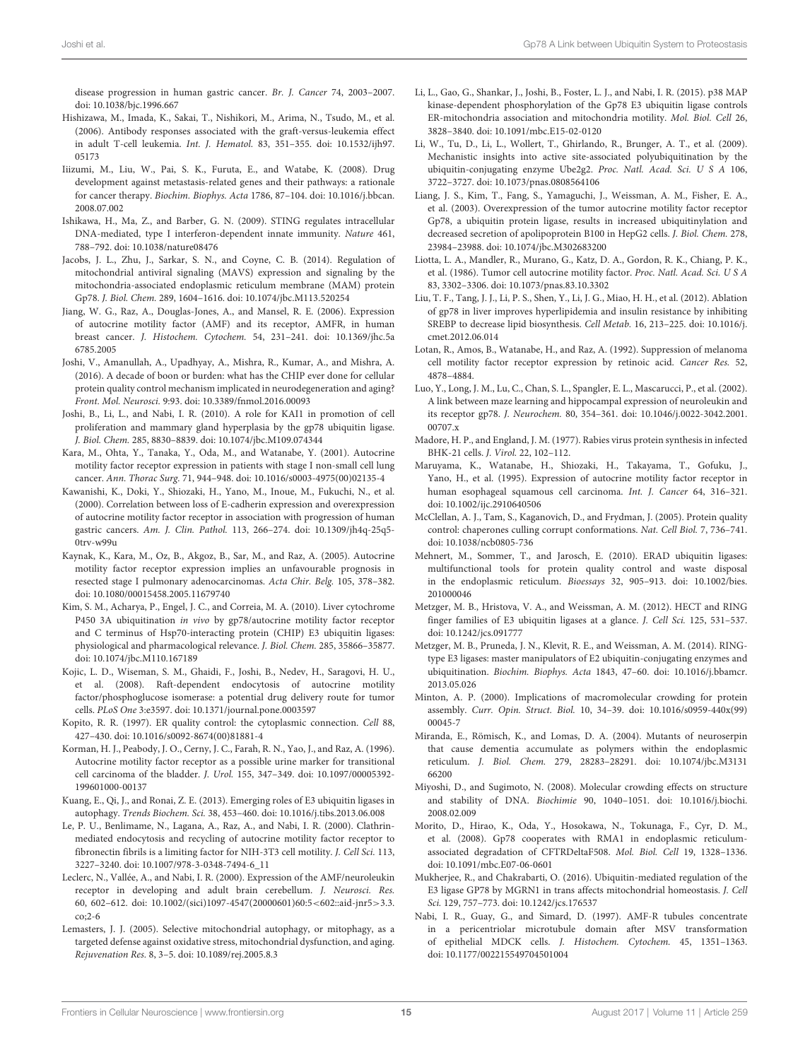disease progression in human gastric cancer. Br. J. Cancer 74, 2003–2007. doi: 10.1038/bjc.1996.667

- Hishizawa, M., Imada, K., Sakai, T., Nishikori, M., Arima, N., Tsudo, M., et al. (2006). Antibody responses associated with the graft-versus-leukemia effect in adult T-cell leukemia. Int. J. Hematol. 83, 351–355. doi: 10.1532/ijh97. 05173
- Iiizumi, M., Liu, W., Pai, S. K., Furuta, E., and Watabe, K. (2008). Drug development against metastasis-related genes and their pathways: a rationale for cancer therapy. Biochim. Biophys. Acta 1786, 87–104. doi: 10.1016/j.bbcan. 2008.07.002
- Ishikawa, H., Ma, Z., and Barber, G. N. (2009). STING regulates intracellular DNA-mediated, type I interferon-dependent innate immunity. Nature 461, 788–792. doi: 10.1038/nature08476
- Jacobs, J. L., Zhu, J., Sarkar, S. N., and Coyne, C. B. (2014). Regulation of mitochondrial antiviral signaling (MAVS) expression and signaling by the mitochondria-associated endoplasmic reticulum membrane (MAM) protein Gp78. J. Biol. Chem. 289, 1604–1616. doi: 10.1074/jbc.M113.520254
- Jiang, W. G., Raz, A., Douglas-Jones, A., and Mansel, R. E. (2006). Expression of autocrine motility factor (AMF) and its receptor, AMFR, in human breast cancer. J. Histochem. Cytochem. 54, 231–241. doi: 10.1369/jhc.5a 6785.2005
- Joshi, V., Amanullah, A., Upadhyay, A., Mishra, R., Kumar, A., and Mishra, A. (2016). A decade of boon or burden: what has the CHIP ever done for cellular protein quality control mechanism implicated in neurodegeneration and aging? Front. Mol. Neurosci. 9:93. doi: 10.3389/fnmol.2016.00093
- Joshi, B., Li, L., and Nabi, I. R. (2010). A role for KAI1 in promotion of cell proliferation and mammary gland hyperplasia by the gp78 ubiquitin ligase. J. Biol. Chem. 285, 8830–8839. doi: 10.1074/jbc.M109.074344
- Kara, M., Ohta, Y., Tanaka, Y., Oda, M., and Watanabe, Y. (2001). Autocrine motility factor receptor expression in patients with stage I non-small cell lung cancer. Ann. Thorac Surg. 71, 944–948. doi: 10.1016/s0003-4975(00)02135-4
- Kawanishi, K., Doki, Y., Shiozaki, H., Yano, M., Inoue, M., Fukuchi, N., et al. (2000). Correlation between loss of E-cadherin expression and overexpression of autocrine motility factor receptor in association with progression of human gastric cancers. Am. J. Clin. Pathol. 113, 266–274. doi: 10.1309/jh4q-25q5- 0trv-w99u
- Kaynak, K., Kara, M., Oz, B., Akgoz, B., Sar, M., and Raz, A. (2005). Autocrine motility factor receptor expression implies an unfavourable prognosis in resected stage I pulmonary adenocarcinomas. Acta Chir. Belg. 105, 378–382. doi: 10.1080/00015458.2005.11679740
- Kim, S. M., Acharya, P., Engel, J. C., and Correia, M. A. (2010). Liver cytochrome P450 3A ubiquitination in vivo by gp78/autocrine motility factor receptor and C terminus of Hsp70-interacting protein (CHIP) E3 ubiquitin ligases: physiological and pharmacological relevance. J. Biol. Chem. 285, 35866–35877. doi: 10.1074/jbc.M110.167189
- Kojic, L. D., Wiseman, S. M., Ghaidi, F., Joshi, B., Nedev, H., Saragovi, H. U., et al. (2008). Raft-dependent endocytosis of autocrine motility factor/phosphoglucose isomerase: a potential drug delivery route for tumor cells. PLoS One 3:e3597. doi: 10.1371/journal.pone.0003597
- Kopito, R. R. (1997). ER quality control: the cytoplasmic connection. Cell 88, 427–430. doi: 10.1016/s0092-8674(00)81881-4
- Korman, H. J., Peabody, J. O., Cerny, J. C., Farah, R. N., Yao, J., and Raz, A. (1996). Autocrine motility factor receptor as a possible urine marker for transitional cell carcinoma of the bladder. J. Urol. 155, 347–349. doi: 10.1097/00005392- 199601000-00137
- Kuang, E., Qi, J., and Ronai, Z. E. (2013). Emerging roles of E3 ubiquitin ligases in autophagy. Trends Biochem. Sci. 38, 453–460. doi: 10.1016/j.tibs.2013.06.008
- Le, P. U., Benlimame, N., Lagana, A., Raz, A., and Nabi, I. R. (2000). Clathrinmediated endocytosis and recycling of autocrine motility factor receptor to fibronectin fibrils is a limiting factor for NIH-3T3 cell motility. J. Cell Sci. 113, 3227–3240. doi: 10.1007/978-3-0348-7494-6\_11
- Leclerc, N., Vallée, A., and Nabi, I. R. (2000). Expression of the AMF/neuroleukin receptor in developing and adult brain cerebellum. J. Neurosci. Res. 60, 602–612. doi: 10.1002/(sici)1097-4547(20000601)60:5<602::aid-jnr5>3.3. co;2-6
- Lemasters, J. J. (2005). Selective mitochondrial autophagy, or mitophagy, as a targeted defense against oxidative stress, mitochondrial dysfunction, and aging. Rejuvenation Res. 8, 3–5. doi: 10.1089/rej.2005.8.3
- Li, L., Gao, G., Shankar, J., Joshi, B., Foster, L. J., and Nabi, I. R. (2015). p38 MAP kinase-dependent phosphorylation of the Gp78 E3 ubiquitin ligase controls ER-mitochondria association and mitochondria motility. Mol. Biol. Cell 26, 3828–3840. doi: 10.1091/mbc.E15-02-0120
- Li, W., Tu, D., Li, L., Wollert, T., Ghirlando, R., Brunger, A. T., et al. (2009). Mechanistic insights into active site-associated polyubiquitination by the ubiquitin-conjugating enzyme Ube2g2. Proc. Natl. Acad. Sci. U S A 106, 3722–3727. doi: 10.1073/pnas.0808564106
- Liang, J. S., Kim, T., Fang, S., Yamaguchi, J., Weissman, A. M., Fisher, E. A., et al. (2003). Overexpression of the tumor autocrine motility factor receptor Gp78, a ubiquitin protein ligase, results in increased ubiquitinylation and decreased secretion of apolipoprotein B100 in HepG2 cells. J. Biol. Chem. 278, 23984–23988. doi: 10.1074/jbc.M302683200
- Liotta, L. A., Mandler, R., Murano, G., Katz, D. A., Gordon, R. K., Chiang, P. K., et al. (1986). Tumor cell autocrine motility factor. Proc. Natl. Acad. Sci. U S A 83, 3302–3306. doi: 10.1073/pnas.83.10.3302
- Liu, T. F., Tang, J. J., Li, P. S., Shen, Y., Li, J. G., Miao, H. H., et al. (2012). Ablation of gp78 in liver improves hyperlipidemia and insulin resistance by inhibiting SREBP to decrease lipid biosynthesis. Cell Metab. 16, 213–225. doi: 10.1016/j. cmet.2012.06.014
- Lotan, R., Amos, B., Watanabe, H., and Raz, A. (1992). Suppression of melanoma cell motility factor receptor expression by retinoic acid. Cancer Res. 52, 4878–4884.
- Luo, Y., Long, J. M., Lu, C., Chan, S. L., Spangler, E. L., Mascarucci, P., et al. (2002). A link between maze learning and hippocampal expression of neuroleukin and its receptor gp78. J. Neurochem. 80, 354–361. doi: 10.1046/j.0022-3042.2001. 00707.x
- Madore, H. P., and England, J. M. (1977). Rabies virus protein synthesis in infected BHK-21 cells. J. Virol. 22, 102–112.
- Maruyama, K., Watanabe, H., Shiozaki, H., Takayama, T., Gofuku, J., Yano, H., et al. (1995). Expression of autocrine motility factor receptor in human esophageal squamous cell carcinoma. Int. J. Cancer 64, 316–321. doi: 10.1002/ijc.2910640506
- McClellan, A. J., Tam, S., Kaganovich, D., and Frydman, J. (2005). Protein quality control: chaperones culling corrupt conformations. Nat. Cell Biol. 7, 736–741. doi: 10.1038/ncb0805-736
- Mehnert, M., Sommer, T., and Jarosch, E. (2010). ERAD ubiquitin ligases: multifunctional tools for protein quality control and waste disposal in the endoplasmic reticulum. Bioessays 32, 905–913. doi: 10.1002/bies. 201000046
- Metzger, M. B., Hristova, V. A., and Weissman, A. M. (2012). HECT and RING finger families of E3 ubiquitin ligases at a glance. J. Cell Sci. 125, 531–537. doi: 10.1242/jcs.091777
- Metzger, M. B., Pruneda, J. N., Klevit, R. E., and Weissman, A. M. (2014). RINGtype E3 ligases: master manipulators of E2 ubiquitin-conjugating enzymes and ubiquitination. Biochim. Biophys. Acta 1843, 47–60. doi: 10.1016/j.bbamcr. 2013.05.026
- Minton, A. P. (2000). Implications of macromolecular crowding for protein assembly. Curr. Opin. Struct. Biol. 10, 34–39. doi: 10.1016/s0959-440x(99) 00045-7
- Miranda, E., Römisch, K., and Lomas, D. A. (2004). Mutants of neuroserpin that cause dementia accumulate as polymers within the endoplasmic reticulum. J. Biol. Chem. 279, 28283–28291. doi: 10.1074/jbc.M3131 66200
- Miyoshi, D., and Sugimoto, N. (2008). Molecular crowding effects on structure and stability of DNA. Biochimie 90, 1040–1051. doi: 10.1016/j.biochi. 2008.02.009
- Morito, D., Hirao, K., Oda, Y., Hosokawa, N., Tokunaga, F., Cyr, D. M., et al. (2008). Gp78 cooperates with RMA1 in endoplasmic reticulumassociated degradation of CFTRDeltaF508. Mol. Biol. Cell 19, 1328–1336. doi: 10.1091/mbc.E07-06-0601
- Mukherjee, R., and Chakrabarti, O. (2016). Ubiquitin-mediated regulation of the E3 ligase GP78 by MGRN1 in trans affects mitochondrial homeostasis. J. Cell Sci. 129, 757–773. doi: 10.1242/jcs.176537
- Nabi, I. R., Guay, G., and Simard, D. (1997). AMF-R tubules concentrate in a pericentriolar microtubule domain after MSV transformation of epithelial MDCK cells. J. Histochem. Cytochem. 45, 1351–1363. doi: 10.1177/002215549704501004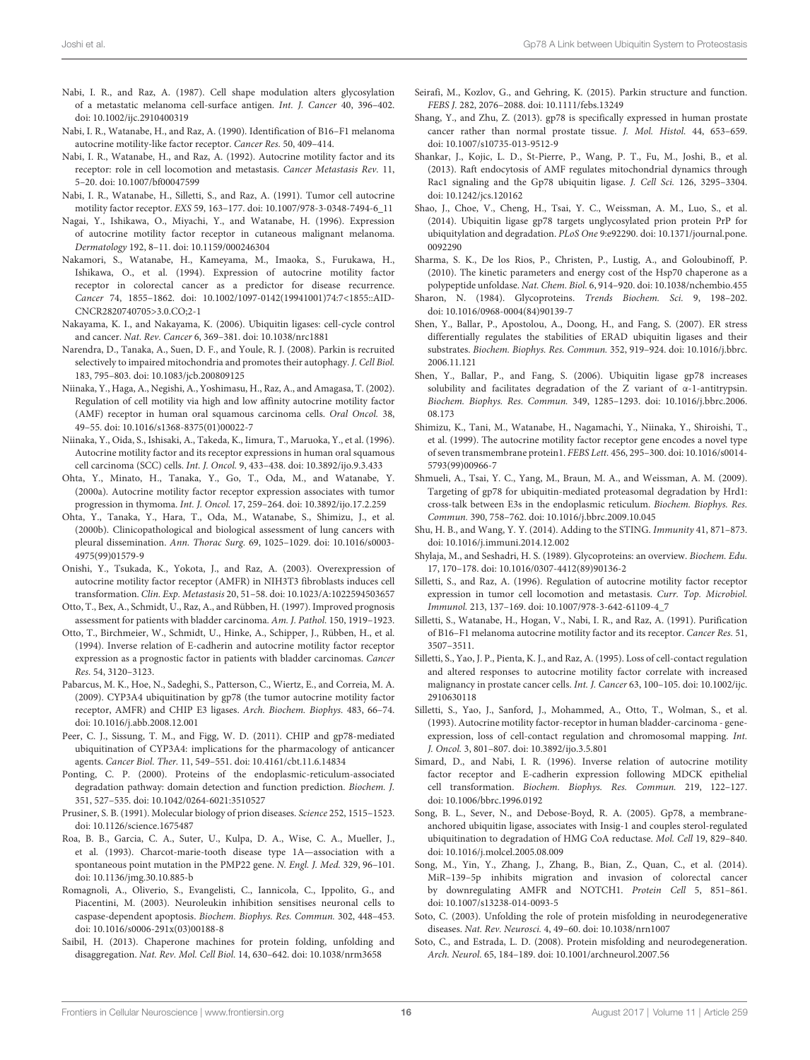- Nabi, I. R., and Raz, A. (1987). Cell shape modulation alters glycosylation of a metastatic melanoma cell-surface antigen. Int. J. Cancer 40, 396–402. doi: 10.1002/ijc.2910400319
- Nabi, I. R., Watanabe, H., and Raz, A. (1990). Identification of B16–F1 melanoma autocrine motility-like factor receptor. Cancer Res. 50, 409–414.
- Nabi, I. R., Watanabe, H., and Raz, A. (1992). Autocrine motility factor and its receptor: role in cell locomotion and metastasis. Cancer Metastasis Rev. 11, 5–20. doi: 10.1007/bf00047599
- Nabi, I. R., Watanabe, H., Silletti, S., and Raz, A. (1991). Tumor cell autocrine motility factor receptor. EXS 59, 163–177. doi: 10.1007/978-3-0348-7494-6\_11
- Nagai, Y., Ishikawa, O., Miyachi, Y., and Watanabe, H. (1996). Expression of autocrine motility factor receptor in cutaneous malignant melanoma. Dermatology 192, 8–11. doi: 10.1159/000246304
- Nakamori, S., Watanabe, H., Kameyama, M., Imaoka, S., Furukawa, H., Ishikawa, O., et al. (1994). Expression of autocrine motility factor receptor in colorectal cancer as a predictor for disease recurrence. Cancer 74, 1855–1862. doi: 10.1002/1097-0142(19941001)74:7<1855::AID-CNCR2820740705>3.0.CO;2-1
- Nakayama, K. I., and Nakayama, K. (2006). Ubiquitin ligases: cell-cycle control and cancer. Nat. Rev. Cancer 6, 369–381. doi: 10.1038/nrc1881
- Narendra, D., Tanaka, A., Suen, D. F., and Youle, R. J. (2008). Parkin is recruited selectively to impaired mitochondria and promotes their autophagy. J. Cell Biol. 183, 795–803. doi: 10.1083/jcb.200809125
- Niinaka, Y., Haga, A., Negishi, A., Yoshimasu, H., Raz, A., and Amagasa, T. (2002). Regulation of cell motility via high and low affinity autocrine motility factor (AMF) receptor in human oral squamous carcinoma cells. Oral Oncol. 38, 49–55. doi: 10.1016/s1368-8375(01)00022-7
- Niinaka, Y., Oida, S., Ishisaki, A., Takeda, K., Iimura, T., Maruoka, Y., et al. (1996). Autocrine motility factor and its receptor expressions in human oral squamous cell carcinoma (SCC) cells. Int. J. Oncol. 9, 433–438. doi: 10.3892/ijo.9.3.433

Ohta, Y., Minato, H., Tanaka, Y., Go, T., Oda, M., and Watanabe, Y. (2000a). Autocrine motility factor receptor expression associates with tumor progression in thymoma. Int. J. Oncol. 17, 259–264. doi: 10.3892/ijo.17.2.259

- Ohta, Y., Tanaka, Y., Hara, T., Oda, M., Watanabe, S., Shimizu, J., et al. (2000b). Clinicopathological and biological assessment of lung cancers with pleural dissemination. Ann. Thorac Surg. 69, 1025–1029. doi: 10.1016/s0003- 4975(99)01579-9
- Onishi, Y., Tsukada, K., Yokota, J., and Raz, A. (2003). Overexpression of autocrine motility factor receptor (AMFR) in NIH3T3 fibroblasts induces cell transformation. Clin. Exp. Metastasis 20, 51–58. doi: 10.1023/A:1022594503657

Otto, T., Bex, A., Schmidt, U., Raz, A., and Rübben, H. (1997). Improved prognosis assessment for patients with bladder carcinoma. Am. J. Pathol. 150, 1919–1923.

- Otto, T., Birchmeier, W., Schmidt, U., Hinke, A., Schipper, J., Rübben, H., et al. (1994). Inverse relation of E-cadherin and autocrine motility factor receptor expression as a prognostic factor in patients with bladder carcinomas. Cancer Res. 54, 3120–3123.
- Pabarcus, M. K., Hoe, N., Sadeghi, S., Patterson, C., Wiertz, E., and Correia, M. A. (2009). CYP3A4 ubiquitination by gp78 (the tumor autocrine motility factor receptor, AMFR) and CHIP E3 ligases. Arch. Biochem. Biophys. 483, 66–74. doi: 10.1016/j.abb.2008.12.001
- Peer, C. J., Sissung, T. M., and Figg, W. D. (2011). CHIP and gp78-mediated ubiquitination of CYP3A4: implications for the pharmacology of anticancer agents. Cancer Biol. Ther. 11, 549–551. doi: 10.4161/cbt.11.6.14834
- Ponting, C. P. (2000). Proteins of the endoplasmic-reticulum-associated degradation pathway: domain detection and function prediction. Biochem. J. 351, 527–535. doi: 10.1042/0264-6021:3510527

Prusiner, S. B. (1991). Molecular biology of prion diseases. Science 252, 1515–1523. doi: 10.1126/science.1675487

- Roa, B. B., Garcia, C. A., Suter, U., Kulpa, D. A., Wise, C. A., Mueller, J., et al. (1993). Charcot-marie-tooth disease type 1A—association with a spontaneous point mutation in the PMP22 gene. N. Engl. J. Med. 329, 96–101. doi: 10.1136/jmg.30.10.885-b
- Romagnoli, A., Oliverio, S., Evangelisti, C., Iannicola, C., Ippolito, G., and Piacentini, M. (2003). Neuroleukin inhibition sensitises neuronal cells to caspase-dependent apoptosis. Biochem. Biophys. Res. Commun. 302, 448–453. doi: 10.1016/s0006-291x(03)00188-8
- Saibil, H. (2013). Chaperone machines for protein folding, unfolding and disaggregation. Nat. Rev. Mol. Cell Biol. 14, 630–642. doi: 10.1038/nrm3658
- Seirafi, M., Kozlov, G., and Gehring, K. (2015). Parkin structure and function. FEBS J. 282, 2076–2088. doi: 10.1111/febs.13249
- Shang, Y., and Zhu, Z. (2013). gp78 is specifically expressed in human prostate cancer rather than normal prostate tissue. J. Mol. Histol. 44, 653–659. doi: 10.1007/s10735-013-9512-9
- Shankar, J., Kojic, L. D., St-Pierre, P., Wang, P. T., Fu, M., Joshi, B., et al. (2013). Raft endocytosis of AMF regulates mitochondrial dynamics through Rac1 signaling and the Gp78 ubiquitin ligase. J. Cell Sci. 126, 3295–3304. doi: 10.1242/jcs.120162
- Shao, J., Choe, V., Cheng, H., Tsai, Y. C., Weissman, A. M., Luo, S., et al. (2014). Ubiquitin ligase gp78 targets unglycosylated prion protein PrP for ubiquitylation and degradation. PLoS One 9:e92290. doi: 10.1371/journal.pone. 0092290
- Sharma, S. K., De los Rios, P., Christen, P., Lustig, A., and Goloubinoff, P. (2010). The kinetic parameters and energy cost of the Hsp70 chaperone as a polypeptide unfoldase. Nat. Chem. Biol. 6, 914–920. doi: 10.1038/nchembio.455
- Sharon, N. (1984). Glycoproteins. Trends Biochem. Sci. 9, 198–202. doi: 10.1016/0968-0004(84)90139-7
- Shen, Y., Ballar, P., Apostolou, A., Doong, H., and Fang, S. (2007). ER stress differentially regulates the stabilities of ERAD ubiquitin ligases and their substrates. Biochem. Biophys. Res. Commun. 352, 919–924. doi: 10.1016/j.bbrc. 2006.11.121
- Shen, Y., Ballar, P., and Fang, S. (2006). Ubiquitin ligase gp78 increases solubility and facilitates degradation of the Z variant of  $\alpha$ -1-antitrypsin. Biochem. Biophys. Res. Commun. 349, 1285–1293. doi: 10.1016/j.bbrc.2006. 08.173
- Shimizu, K., Tani, M., Watanabe, H., Nagamachi, Y., Niinaka, Y., Shiroishi, T., et al. (1999). The autocrine motility factor receptor gene encodes a novel type of seven transmembrane protein1. FEBS Lett. 456, 295–300. doi: 10.1016/s0014- 5793(99)00966-7
- Shmueli, A., Tsai, Y. C., Yang, M., Braun, M. A., and Weissman, A. M. (2009). Targeting of gp78 for ubiquitin-mediated proteasomal degradation by Hrd1: cross-talk between E3s in the endoplasmic reticulum. Biochem. Biophys. Res. Commun. 390, 758–762. doi: 10.1016/j.bbrc.2009.10.045
- Shu, H. B., and Wang, Y. Y. (2014). Adding to the STING. Immunity 41, 871–873. doi: 10.1016/j.immuni.2014.12.002
- Shylaja, M., and Seshadri, H. S. (1989). Glycoproteins: an overview. Biochem. Edu. 17, 170–178. doi: 10.1016/0307-4412(89)90136-2
- Silletti, S., and Raz, A. (1996). Regulation of autocrine motility factor receptor expression in tumor cell locomotion and metastasis. Curr. Top. Microbiol. Immunol. 213, 137–169. doi: 10.1007/978-3-642-61109-4\_7
- Silletti, S., Watanabe, H., Hogan, V., Nabi, I. R., and Raz, A. (1991). Purification of B16–F1 melanoma autocrine motility factor and its receptor. Cancer Res. 51, 3507–3511.
- Silletti, S., Yao, J. P., Pienta, K. J., and Raz, A. (1995). Loss of cell-contact regulation and altered responses to autocrine motility factor correlate with increased malignancy in prostate cancer cells. Int. J. Cancer 63, 100–105. doi: 10.1002/ijc. 2910630118
- Silletti, S., Yao, J., Sanford, J., Mohammed, A., Otto, T., Wolman, S., et al. (1993). Autocrine motility factor-receptor in human bladder-carcinoma - geneexpression, loss of cell-contact regulation and chromosomal mapping. Int. J. Oncol. 3, 801–807. doi: 10.3892/ijo.3.5.801
- Simard, D., and Nabi, I. R. (1996). Inverse relation of autocrine motility factor receptor and E-cadherin expression following MDCK epithelial cell transformation. Biochem. Biophys. Res. Commun. 219, 122–127. doi: 10.1006/bbrc.1996.0192
- Song, B. L., Sever, N., and Debose-Boyd, R. A. (2005). Gp78, a membraneanchored ubiquitin ligase, associates with Insig-1 and couples sterol-regulated ubiquitination to degradation of HMG CoA reductase. Mol. Cell 19, 829–840. doi: 10.1016/j.molcel.2005.08.009
- Song, M., Yin, Y., Zhang, J., Zhang, B., Bian, Z., Quan, C., et al. (2014). MiR–139–5p inhibits migration and invasion of colorectal cancer by downregulating AMFR and NOTCH1. Protein Cell 5, 851–861. doi: 10.1007/s13238-014-0093-5
- Soto, C. (2003). Unfolding the role of protein misfolding in neurodegenerative diseases. Nat. Rev. Neurosci. 4, 49–60. doi: 10.1038/nrn1007
- Soto, C., and Estrada, L. D. (2008). Protein misfolding and neurodegeneration. Arch. Neurol. 65, 184–189. doi: 10.1001/archneurol.2007.56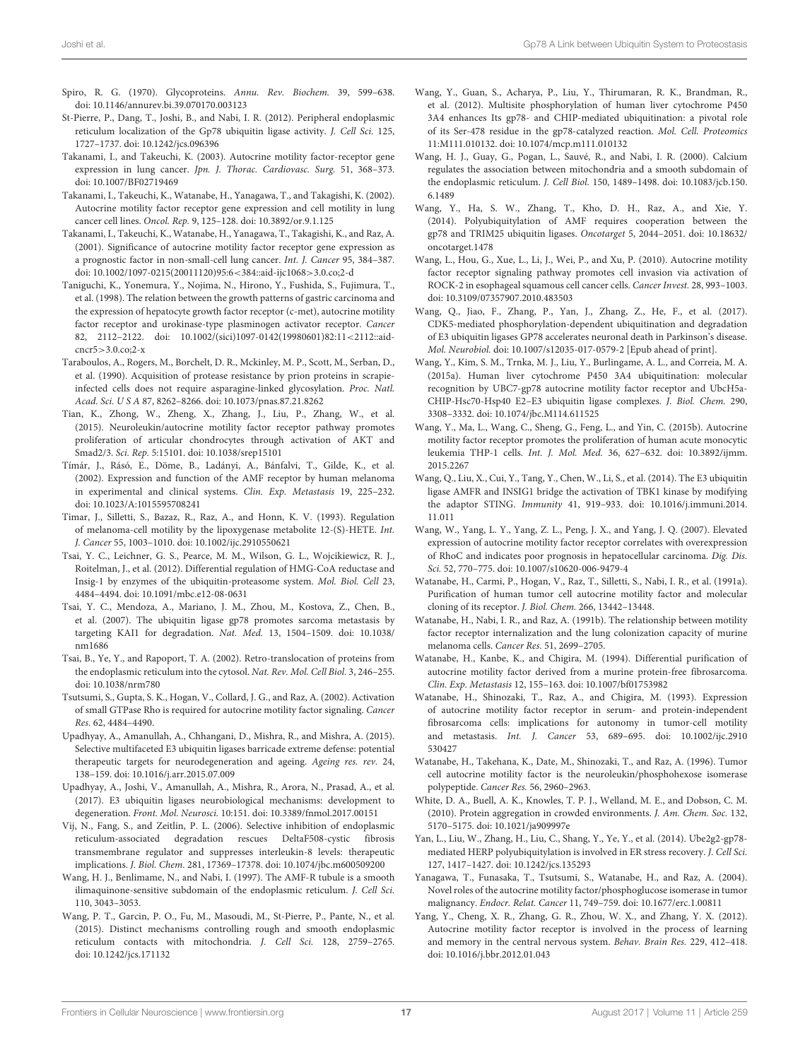- Spiro, R. G. (1970). Glycoproteins. Annu. Rev. Biochem. 39, 599–638. doi: 10.1146/annurev.bi.39.070170.003123
- St-Pierre, P., Dang, T., Joshi, B., and Nabi, I. R. (2012). Peripheral endoplasmic reticulum localization of the Gp78 ubiquitin ligase activity. J. Cell Sci. 125, 1727–1737. doi: 10.1242/jcs.096396
- Takanami, I., and Takeuchi, K. (2003). Autocrine motility factor-receptor gene expression in lung cancer. Jpn. J. Thorac. Cardiovasc. Surg. 51, 368–373. doi: 10.1007/BF02719469
- Takanami, I., Takeuchi, K., Watanabe, H., Yanagawa, T., and Takagishi, K. (2002). Autocrine motility factor receptor gene expression and cell motility in lung cancer cell lines. Oncol. Rep. 9, 125–128. doi: 10.3892/or.9.1.125
- Takanami, I., Takeuchi, K., Watanabe, H., Yanagawa, T., Takagishi, K., and Raz, A. (2001). Significance of autocrine motility factor receptor gene expression as a prognostic factor in non-small-cell lung cancer. Int. J. Cancer 95, 384–387. doi: 10.1002/1097-0215(20011120)95:6<384::aid-ijc1068>3.0.co;2-d
- Taniguchi, K., Yonemura, Y., Nojima, N., Hirono, Y., Fushida, S., Fujimura, T., et al. (1998). The relation between the growth patterns of gastric carcinoma and the expression of hepatocyte growth factor receptor (c-met), autocrine motility factor receptor and urokinase-type plasminogen activator receptor. Cancer 82, 2112–2122. doi: 10.1002/(sici)1097-0142(19980601)82:11<2112::aid $cncr5 > 3.0$   $c_0$ ;  $2-x$
- Taraboulos, A., Rogers, M., Borchelt, D. R., Mckinley, M. P., Scott, M., Serban, D., et al. (1990). Acquisition of protease resistance by prion proteins in scrapieinfected cells does not require asparagine-linked glycosylation. Proc. Natl. Acad. Sci. U S A 87, 8262–8266. doi: 10.1073/pnas.87.21.8262
- Tian, K., Zhong, W., Zheng, X., Zhang, J., Liu, P., Zhang, W., et al. (2015). Neuroleukin/autocrine motility factor receptor pathway promotes proliferation of articular chondrocytes through activation of AKT and Smad2/3. Sci. Rep. 5:15101. doi: 10.1038/srep15101
- Tímár, J., Rásó, E., Döme, B., Ladányi, A., Bánfalvi, T., Gilde, K., et al. (2002). Expression and function of the AMF receptor by human melanoma in experimental and clinical systems. Clin. Exp. Metastasis 19, 225–232. doi: 10.1023/A:1015595708241
- Timar, J., Silletti, S., Bazaz, R., Raz, A., and Honn, K. V. (1993). Regulation of melanoma-cell motility by the lipoxygenase metabolite 12-(S)-HETE. Int. J. Cancer 55, 1003–1010. doi: 10.1002/ijc.2910550621
- Tsai, Y. C., Leichner, G. S., Pearce, M. M., Wilson, G. L., Wojcikiewicz, R. J., Roitelman, J., et al. (2012). Differential regulation of HMG-CoA reductase and Insig-1 by enzymes of the ubiquitin-proteasome system. Mol. Biol. Cell 23, 4484–4494. doi: 10.1091/mbc.e12-08-0631
- Tsai, Y. C., Mendoza, A., Mariano, J. M., Zhou, M., Kostova, Z., Chen, B., et al. (2007). The ubiquitin ligase gp78 promotes sarcoma metastasis by targeting KAI1 for degradation. Nat. Med. 13, 1504–1509. doi: 10.1038/ nm1686
- Tsai, B., Ye, Y., and Rapoport, T. A. (2002). Retro-translocation of proteins from the endoplasmic reticulum into the cytosol. Nat. Rev. Mol. Cell Biol. 3, 246–255. doi: 10.1038/nrm780
- Tsutsumi, S., Gupta, S. K., Hogan, V., Collard, J. G., and Raz, A. (2002). Activation of small GTPase Rho is required for autocrine motility factor signaling. Cancer Res. 62, 4484–4490.
- Upadhyay, A., Amanullah, A., Chhangani, D., Mishra, R., and Mishra, A. (2015). Selective multifaceted E3 ubiquitin ligases barricade extreme defense: potential therapeutic targets for neurodegeneration and ageing. Ageing res. rev. 24, 138–159. doi: 10.1016/j.arr.2015.07.009
- Upadhyay, A., Joshi, V., Amanullah, A., Mishra, R., Arora, N., Prasad, A., et al. (2017). E3 ubiquitin ligases neurobiological mechanisms: development to degeneration. Front. Mol. Neurosci. 10:151. doi: 10.3389/fnmol.2017.00151
- Vij, N., Fang, S., and Zeitlin, P. L. (2006). Selective inhibition of endoplasmic reticulum-associated degradation rescues DeltaF508-cystic fibrosis transmembrane regulator and suppresses interleukin-8 levels: therapeutic implications. J. Biol. Chem. 281, 17369–17378. doi: 10.1074/jbc.m600509200
- Wang, H. J., Benlimame, N., and Nabi, I. (1997). The AMF-R tubule is a smooth ilimaquinone-sensitive subdomain of the endoplasmic reticulum. J. Cell Sci. 110, 3043–3053.
- Wang, P. T., Garcin, P. O., Fu, M., Masoudi, M., St-Pierre, P., Pante, N., et al. (2015). Distinct mechanisms controlling rough and smooth endoplasmic reticulum contacts with mitochondria. J. Cell Sci. 128, 2759–2765. doi: 10.1242/jcs.171132
- Wang, Y., Guan, S., Acharya, P., Liu, Y., Thirumaran, R. K., Brandman, R., et al. (2012). Multisite phosphorylation of human liver cytochrome P450 3A4 enhances Its gp78- and CHIP-mediated ubiquitination: a pivotal role of its Ser-478 residue in the gp78-catalyzed reaction. Mol. Cell. Proteomics 11:M111.010132. doi: 10.1074/mcp.m111.010132
- Wang, H. J., Guay, G., Pogan, L., Sauvé, R., and Nabi, I. R. (2000). Calcium regulates the association between mitochondria and a smooth subdomain of the endoplasmic reticulum. J. Cell Biol. 150, 1489–1498. doi: 10.1083/jcb.150. 6.1489
- Wang, Y., Ha, S. W., Zhang, T., Kho, D. H., Raz, A., and Xie, Y. (2014). Polyubiquitylation of AMF requires cooperation between the gp78 and TRIM25 ubiquitin ligases. Oncotarget 5, 2044–2051. doi: 10.18632/ oncotarget.1478
- Wang, L., Hou, G., Xue, L., Li, J., Wei, P., and Xu, P. (2010). Autocrine motility factor receptor signaling pathway promotes cell invasion via activation of ROCK-2 in esophageal squamous cell cancer cells. Cancer Invest. 28, 993–1003. doi: 10.3109/07357907.2010.483503
- Wang, Q., Jiao, F., Zhang, P., Yan, J., Zhang, Z., He, F., et al. (2017). CDK5-mediated phosphorylation-dependent ubiquitination and degradation of E3 ubiquitin ligases GP78 accelerates neuronal death in Parkinson's disease. Mol. Neurobiol. doi: 10.1007/s12035-017-0579-2 [Epub ahead of print].
- Wang, Y., Kim, S. M., Trnka, M. J., Liu, Y., Burlingame, A. L., and Correia, M. A. (2015a). Human liver cytochrome P450 3A4 ubiquitination: molecular recognition by UBC7-gp78 autocrine motility factor receptor and UbcH5a-CHIP-Hsc70-Hsp40 E2–E3 ubiquitin ligase complexes. J. Biol. Chem. 290, 3308–3332. doi: 10.1074/jbc.M114.611525
- Wang, Y., Ma, L., Wang, C., Sheng, G., Feng, L., and Yin, C. (2015b). Autocrine motility factor receptor promotes the proliferation of human acute monocytic leukemia THP-1 cells. Int. J. Mol. Med. 36, 627–632. doi: 10.3892/ijmm. 2015.2267
- Wang, Q., Liu, X., Cui, Y., Tang, Y., Chen, W., Li, S., et al. (2014). The E3 ubiquitin ligase AMFR and INSIG1 bridge the activation of TBK1 kinase by modifying the adaptor STING. Immunity 41, 919–933. doi: 10.1016/j.immuni.2014. 11.011
- Wang, W., Yang, L. Y., Yang, Z. L., Peng, J. X., and Yang, J. Q. (2007). Elevated expression of autocrine motility factor receptor correlates with overexpression of RhoC and indicates poor prognosis in hepatocellular carcinoma. Dig. Dis. Sci. 52, 770–775. doi: 10.1007/s10620-006-9479-4
- Watanabe, H., Carmi, P., Hogan, V., Raz, T., Silletti, S., Nabi, I. R., et al. (1991a). Purification of human tumor cell autocrine motility factor and molecular cloning of its receptor. J. Biol. Chem. 266, 13442–13448.
- Watanabe, H., Nabi, I. R., and Raz, A. (1991b). The relationship between motility factor receptor internalization and the lung colonization capacity of murine melanoma cells. Cancer Res. 51, 2699–2705.
- Watanabe, H., Kanbe, K., and Chigira, M. (1994). Differential purification of autocrine motility factor derived from a murine protein-free fibrosarcoma. Clin. Exp. Metastasis 12, 155–163. doi: 10.1007/bf01753982
- Watanabe, H., Shinozaki, T., Raz, A., and Chigira, M. (1993). Expression of autocrine motility factor receptor in serum- and protein-independent fibrosarcoma cells: implications for autonomy in tumor-cell motility and metastasis. Int. J. Cancer 53, 689–695. doi: 10.1002/ijc.2910 530427
- Watanabe, H., Takehana, K., Date, M., Shinozaki, T., and Raz, A. (1996). Tumor cell autocrine motility factor is the neuroleukin/phosphohexose isomerase polypeptide. Cancer Res. 56, 2960–2963.
- White, D. A., Buell, A. K., Knowles, T. P. J., Welland, M. E., and Dobson, C. M. (2010). Protein aggregation in crowded environments. J. Am. Chem. Soc. 132, 5170–5175. doi: 10.1021/ja909997e
- Yan, L., Liu, W., Zhang, H., Liu, C., Shang, Y., Ye, Y., et al. (2014). Ube2g2-gp78 mediated HERP polyubiquitylation is involved in ER stress recovery. J. Cell Sci. 127, 1417–1427. doi: 10.1242/jcs.135293
- Yanagawa, T., Funasaka, T., Tsutsumi, S., Watanabe, H., and Raz, A. (2004). Novel roles of the autocrine motility factor/phosphoglucose isomerase in tumor malignancy. Endocr. Relat. Cancer 11, 749–759. doi: 10.1677/erc.1.00811
- Yang, Y., Cheng, X. R., Zhang, G. R., Zhou, W. X., and Zhang, Y. X. (2012). Autocrine motility factor receptor is involved in the process of learning and memory in the central nervous system. Behav. Brain Res. 229, 412–418. doi: 10.1016/j.bbr.2012.01.043